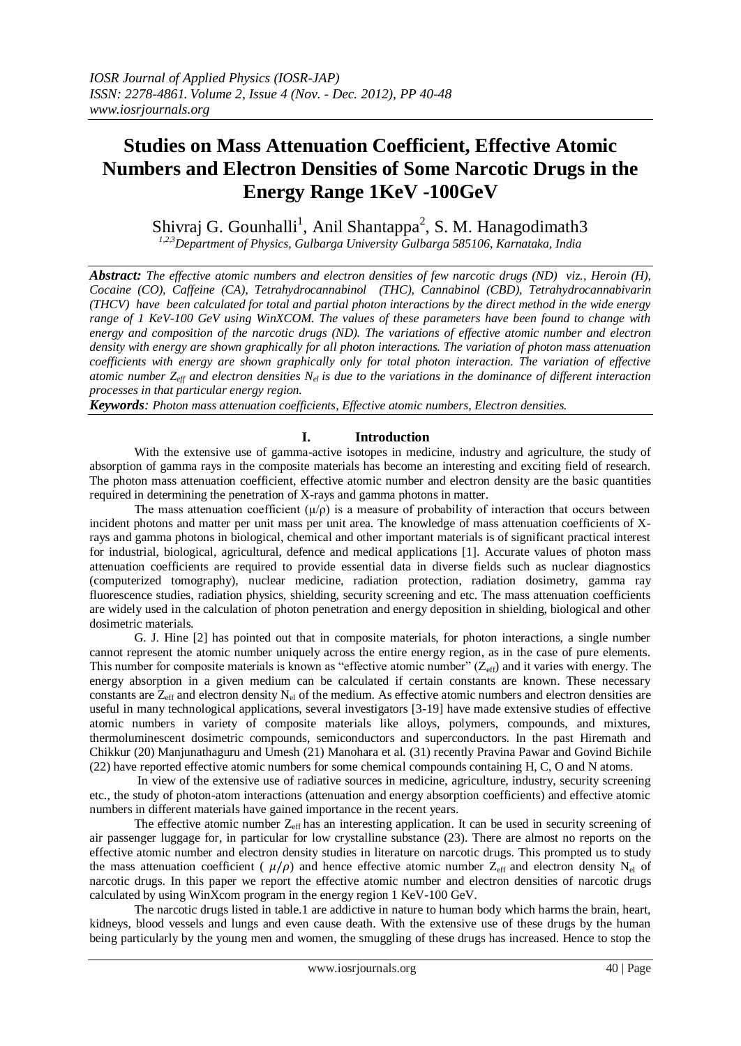# **Studies on Mass Attenuation Coefficient, Effective Atomic Numbers and Electron Densities of Some Narcotic Drugs in the Energy Range 1KeV -100GeV**

Shivraj G. Gounhalli<sup>1</sup>, Anil Shantappa<sup>2</sup>, S. M. Hanagodimath3

*1,2,3Department of Physics, Gulbarga University Gulbarga 585106, Karnataka, India* 

*Abstract: The effective atomic numbers and electron densities of few narcotic drugs (ND) viz., Heroin (H), Cocaine (CO), Caffeine (CA), Tetrahydrocannabinol (THC), Cannabinol (CBD), Tetrahydrocannabivarin (THCV) have been calculated for total and partial photon interactions by the direct method in the wide energy range of 1 KeV-100 GeV using WinXCOM. The values of these parameters have been found to change with energy and composition of the narcotic drugs (ND). The variations of effective atomic number and electron density with energy are shown graphically for all photon interactions. The variation of photon mass attenuation coefficients with energy are shown graphically only for total photon interaction. The variation of effective atomic number Zeff and electron densities Nel is due to the variations in the dominance of different interaction processes in that particular energy region.*

*Keywords: Photon mass attenuation coefficients, Effective atomic numbers, Electron densities.* 

# **I. Introduction**

With the extensive use of gamma-active isotopes in medicine, industry and agriculture, the study of absorption of gamma rays in the composite materials has become an interesting and exciting field of research. The photon mass attenuation coefficient, effective atomic number and electron density are the basic quantities required in determining the penetration of X-rays and gamma photons in matter.

The mass attenuation coefficient  $(\mu/\rho)$  is a measure of probability of interaction that occurs between incident photons and matter per unit mass per unit area. The knowledge of mass attenuation coefficients of Xrays and gamma photons in biological, chemical and other important materials is of significant practical interest for industrial, biological, agricultural, defence and medical applications [1]. Accurate values of photon mass attenuation coefficients are required to provide essential data in diverse fields such as nuclear diagnostics (computerized tomography), nuclear medicine, radiation protection, radiation dosimetry, gamma ray fluorescence studies, radiation physics, shielding, security screening and etc. The mass attenuation coefficients are widely used in the calculation of photon penetration and energy deposition in shielding, biological and other dosimetric materials.

G. J. Hine [2] has pointed out that in composite materials, for photon interactions, a single number cannot represent the atomic number uniquely across the entire energy region, as in the case of pure elements. This number for composite materials is known as "effective atomic number"  $(Z_{\text{eff}})$  and it varies with energy. The energy absorption in a given medium can be calculated if certain constants are known. These necessary constants are  $Z_{\text{eff}}$  and electron density N<sub>el</sub> of the medium. As effective atomic numbers and electron densities are useful in many technological applications, several investigators [3-19] have made extensive studies of effective atomic numbers in variety of composite materials like alloys, polymers, compounds, and mixtures, thermoluminescent dosimetric compounds, semiconductors and superconductors. In the past Hiremath and Chikkur (20) Manjunathaguru and Umesh (21) Manohara et al. (31) recently Pravina Pawar and Govind Bichile (22) have reported effective atomic numbers for some chemical compounds containing H, C, O and N atoms.

In view of the extensive use of radiative sources in medicine, agriculture, industry, security screening etc., the study of photon-atom interactions (attenuation and energy absorption coefficients) and effective atomic numbers in different materials have gained importance in the recent years.

The effective atomic number  $Z_{\text{eff}}$  has an interesting application. It can be used in security screening of air passenger luggage for, in particular for low crystalline substance (23). There are almost no reports on the effective atomic number and electron density studies in literature on narcotic drugs. This prompted us to study the mass attenuation coefficient ( $\mu/\rho$ ) and hence effective atomic number Z<sub>eff</sub> and electron density N<sub>el</sub> of narcotic drugs. In this paper we report the effective atomic number and electron densities of narcotic drugs calculated by using WinXcom program in the energy region 1 KeV-100 GeV.

The narcotic drugs listed in table.1 are addictive in nature to human body which harms the brain, heart, kidneys, blood vessels and lungs and even cause death. With the extensive use of these drugs by the human being particularly by the young men and women, the smuggling of these drugs has increased. Hence to stop the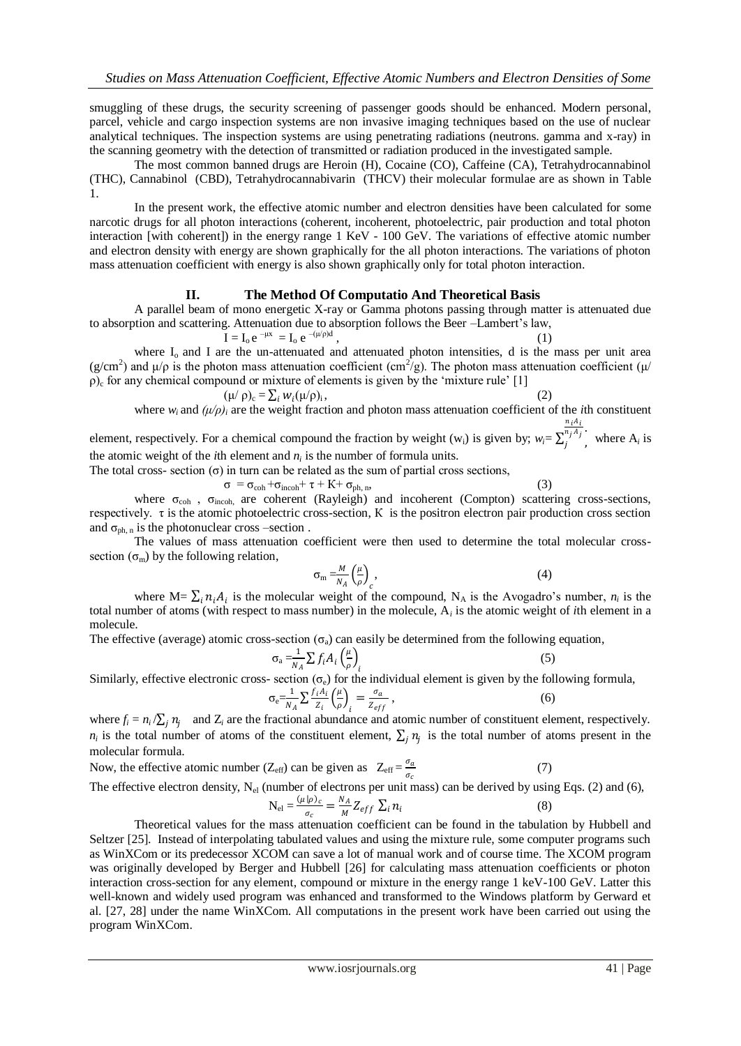smuggling of these drugs, the security screening of passenger goods should be enhanced. Modern personal, parcel, vehicle and cargo inspection systems are non invasive imaging techniques based on the use of nuclear analytical techniques. The inspection systems are using penetrating radiations (neutrons. gamma and x-ray) in the scanning geometry with the detection of transmitted or radiation produced in the investigated sample.

The most common banned drugs are Heroin (H), Cocaine (CO), Caffeine (CA), Tetrahydrocannabinol (THC), Cannabinol (CBD), Tetrahydrocannabivarin (THCV) their molecular formulae are as shown in Table 1.

In the present work, the effective atomic number and electron densities have been calculated for some narcotic drugs for all photon interactions (coherent, incoherent, photoelectric, pair production and total photon interaction [with coherent]) in the energy range 1 KeV - 100 GeV. The variations of effective atomic number and electron density with energy are shown graphically for the all photon interactions. The variations of photon mass attenuation coefficient with energy is also shown graphically only for total photon interaction.

## **II. The Method Of Computatio And Theoretical Basis**

A parallel beam of mono energetic X-ray or Gamma photons passing through matter is attenuated due to absorption and scattering. Attenuation due to absorption follows the Beer –Lambert"s law,

 $I = I_0 e^{-\mu x} = I_0 e^{-(\mu/\rho)d}$  $\hspace{1.6cm}$ , (1) where  $I_0$  and I are the un-attenuated and attenuated photon intensities, d is the mass per unit area

(g/cm<sup>2</sup>) and  $\mu/\rho$  is the photon mass attenuation coefficient (cm<sup>2</sup>/g). The photon mass attenuation coefficient ( $\mu$ /  $ρ)$ <sub>c</sub> for any chemical compound or mixture of elements is given by the 'mixture rule' [1]

$$
(\mu/\rho)_{c} = \sum_{i} w_{i}(\mu/\rho)_{i},
$$
\nwhere  $w_{i}$  and  $(\mu/\rho)_{i}$  are the weight fraction and photon mass attenuation coefficient of the *i*th constituent

element, respectively. For a chemical compound the fraction by weight  $(w_i)$  is given by;  $w_i =$ . ,  $n_j A_j$  $\int_{i}^{n_j}$ , where  $A_i$  is the atomic weight of the *i*th element and  $n_i$  is the number of formula units.

The total cross- section  $(\sigma)$  in turn can be related as the sum of partial cross sections,

$$
\sigma = \sigma_{coh} + \sigma_{incoh} + \tau + K + \sigma_{ph,n},\tag{3}
$$

where  $\sigma_{\rm coh}$ ,  $\sigma_{\rm incoh}$ , are coherent (Rayleigh) and incoherent (Compton) scattering cross-sections, respectively. τ is the atomic photoelectric cross-section, К is the positron electron pair production cross section and  $\sigma_{ph,n}$  is the photonuclear cross –section.

The values of mass attenuation coefficient were then used to determine the total molecular crosssection  $(\sigma_m)$  by the following relation,

$$
\sigma_{\rm m} = \frac{M}{N_A} \left(\frac{\mu}{\rho}\right)_c, \tag{4}
$$

where M=  $\sum_i n_i A_i$  is the molecular weight of the compound, N<sub>A</sub> is the Avogadro's number,  $n_i$  is the total number of atoms (with respect to mass number) in the molecule, A*<sup>i</sup>* is the atomic weight of *i*th element in a molecule.

The effective (average) atomic cross-section  $(\sigma_a)$  can easily be determined from the following equation,

$$
\sigma_{\rm a} = \frac{1}{N_A} \sum f_i A_i \left(\frac{\mu}{\rho}\right)_i \tag{5}
$$

Similarly, effective electronic cross- section ( $\sigma_e$ ) for the individual element is given by the following formula,

$$
\sigma_{\rm e} = \frac{1}{N_A} \sum \frac{f_i A_i}{Z_i} \left(\frac{\mu}{\rho}\right)_i = \frac{\sigma_a}{Z_{eff}} \,,\tag{6}
$$

where  $f_i = n_i / \sum_j n_j$  and  $Z_i$  are the fractional abundance and atomic number of constituent element, respectively.  $n_i$  is the total number of atoms of the constituent element,  $\sum_j n_j$  is the total number of atoms present in the molecular formula.

Now, the effective atomic number 
$$
(Z_{\text{eff}})
$$
 can be given as  $Z_{\text{eff}} = \frac{\sigma_a}{\sigma_c}$  (7)

The effective electron density,  $N_{el}$  (number of electrons per unit mass) can be derived by using Eqs. (2) and (6),

$$
N_{el} = \frac{(\mu|\rho)_c}{\sigma_c} = \frac{N_A}{M} Z_{eff} \sum_i n_i
$$
 (8)

Theoretical values for the mass attenuation coefficient can be found in the tabulation by Hubbell and Seltzer [25]. Instead of interpolating tabulated values and using the mixture rule, some computer programs such as WinXCom or its predecessor XCOM can save a lot of manual work and of course time. The XCOM program was originally developed by Berger and Hubbell [26] for calculating mass attenuation coefficients or photon interaction cross-section for any element, compound or mixture in the energy range 1 keV-100 GeV. Latter this well-known and widely used program was enhanced and transformed to the Windows platform by Gerward et al. [27, 28] under the name WinXCom. All computations in the present work have been carried out using the program WinXCom.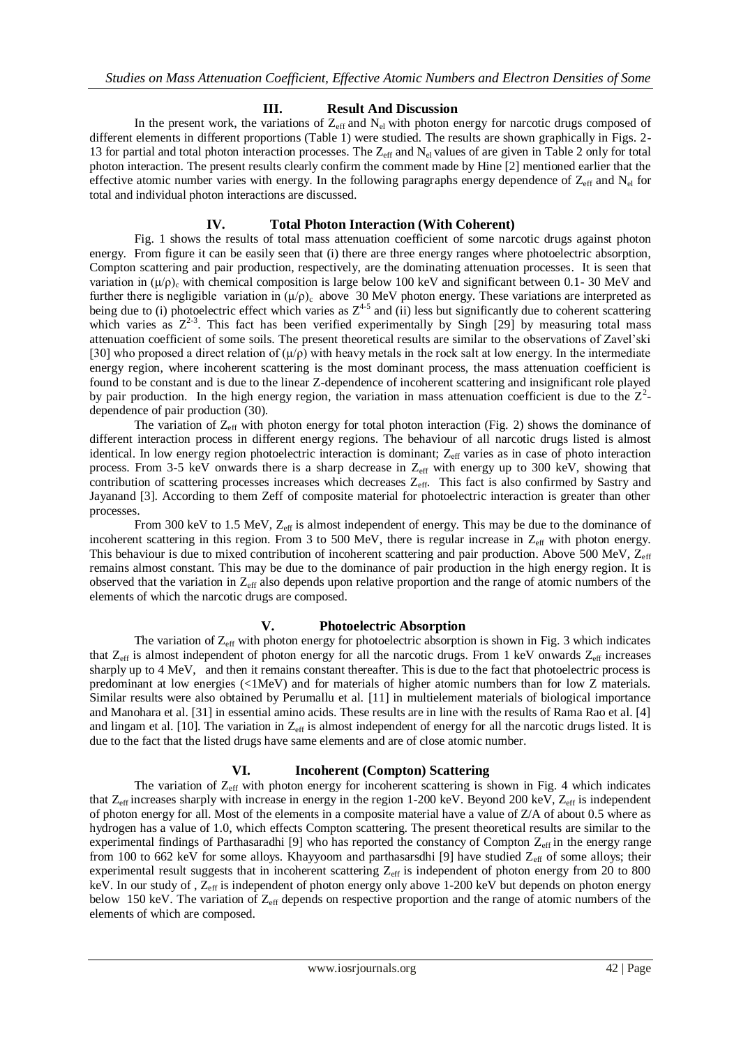#### **III. Result And Discussion**

In the present work, the variations of  $Z_{\text{eff}}$  and  $N_{el}$  with photon energy for narcotic drugs composed of different elements in different proportions (Table 1) were studied. The results are shown graphically in Figs. 2- 13 for partial and total photon interaction processes. The  $Z_{\text{eff}}$  and  $N_{el}$  values of are given in Table 2 only for total photon interaction. The present results clearly confirm the comment made by Hine [2] mentioned earlier that the effective atomic number varies with energy. In the following paragraphs energy dependence of  $Z_{\text{eff}}$  and  $N_{el}$  for total and individual photon interactions are discussed.

#### **IV. Total Photon Interaction (With Coherent)**

Fig. 1 shows the results of total mass attenuation coefficient of some narcotic drugs against photon energy. From figure it can be easily seen that (i) there are three energy ranges where photoelectric absorption, Compton scattering and pair production, respectively, are the dominating attenuation processes. It is seen that variation in  $(\mu/\rho)$ , with chemical composition is large below 100 keV and significant between 0.1- 30 MeV and further there is negligible variation in  $(\mu/\rho)$  above 30 MeV photon energy. These variations are interpreted as being due to (i) photoelectric effect which varies as  $Z^{4-5}$  and (ii) less but significantly due to coherent scattering which varies as  $Z^{2-3}$ . This fact has been verified experimentally by Singh [29] by measuring total mass attenuation coefficient of some soils. The present theoretical results are similar to the observations of Zavel"ski [30] who proposed a direct relation of  $(\mu/\rho)$  with heavy metals in the rock salt at low energy. In the intermediate energy region, where incoherent scattering is the most dominant process, the mass attenuation coefficient is found to be constant and is due to the linear Z-dependence of incoherent scattering and insignificant role played by pair production. In the high energy region, the variation in mass attenuation coefficient is due to the  $Z^2$ dependence of pair production (30).

The variation of  $Z_{\text{eff}}$  with photon energy for total photon interaction (Fig. 2) shows the dominance of different interaction process in different energy regions. The behaviour of all narcotic drugs listed is almost identical. In low energy region photoelectric interaction is dominant; Z<sub>eff</sub> varies as in case of photo interaction process. From 3-5 keV onwards there is a sharp decrease in  $Z_{eff}$  with energy up to 300 keV, showing that contribution of scattering processes increases which decreases Z<sub>eff</sub>. This fact is also confirmed by Sastry and Jayanand [3]. According to them Zeff of composite material for photoelectric interaction is greater than other processes.

From 300 keV to 1.5 MeV,  $Z_{\text{eff}}$  is almost independent of energy. This may be due to the dominance of incoherent scattering in this region. From 3 to 500 MeV, there is regular increase in  $Z_{\text{eff}}$  with photon energy. This behaviour is due to mixed contribution of incoherent scattering and pair production. Above 500 MeV, Z<sub>eff</sub> remains almost constant. This may be due to the dominance of pair production in the high energy region. It is observed that the variation in  $Z_{\text{eff}}$  also depends upon relative proportion and the range of atomic numbers of the elements of which the narcotic drugs are composed.

#### **V. Photoelectric Absorption**

The variation of  $Z_{\text{eff}}$  with photon energy for photoelectric absorption is shown in Fig. 3 which indicates that  $Z_{\text{eff}}$  is almost independent of photon energy for all the narcotic drugs. From 1 keV onwards  $Z_{\text{eff}}$  increases sharply up to 4 MeV, and then it remains constant thereafter. This is due to the fact that photoelectric process is predominant at low energies (<1MeV) and for materials of higher atomic numbers than for low Z materials. Similar results were also obtained by Perumallu et al. [11] in multielement materials of biological importance and Manohara et al. [31] in essential amino acids. These results are in line with the results of Rama Rao et al. [4] and lingam et al. [10]. The variation in  $Z_{\text{eff}}$  is almost independent of energy for all the narcotic drugs listed. It is due to the fact that the listed drugs have same elements and are of close atomic number.

#### **VI. Incoherent (Compton) Scattering**

The variation of  $Z_{\text{eff}}$  with photon energy for incoherent scattering is shown in Fig. 4 which indicates that  $Z_{eff}$  increases sharply with increase in energy in the region 1-200 keV. Beyond 200 keV,  $Z_{eff}$  is independent of photon energy for all. Most of the elements in a composite material have a value of Z/A of about 0.5 where as hydrogen has a value of 1.0, which effects Compton scattering. The present theoretical results are similar to the experimental findings of Parthasaradhi [9] who has reported the constancy of Compton  $Z_{\text{eff}}$  in the energy range from 100 to 662 keV for some alloys. Khayyoom and parthasarsdhi [9] have studied  $Z_{\text{eff}}$  of some alloys; their experimental result suggests that in incoherent scattering  $Z_{\text{eff}}$  is independent of photon energy from 20 to 800 keV. In our study of ,  $Z_{\text{eff}}$  is independent of photon energy only above 1-200 keV but depends on photon energy below 150 keV. The variation of Z<sub>eff</sub> depends on respective proportion and the range of atomic numbers of the elements of which are composed.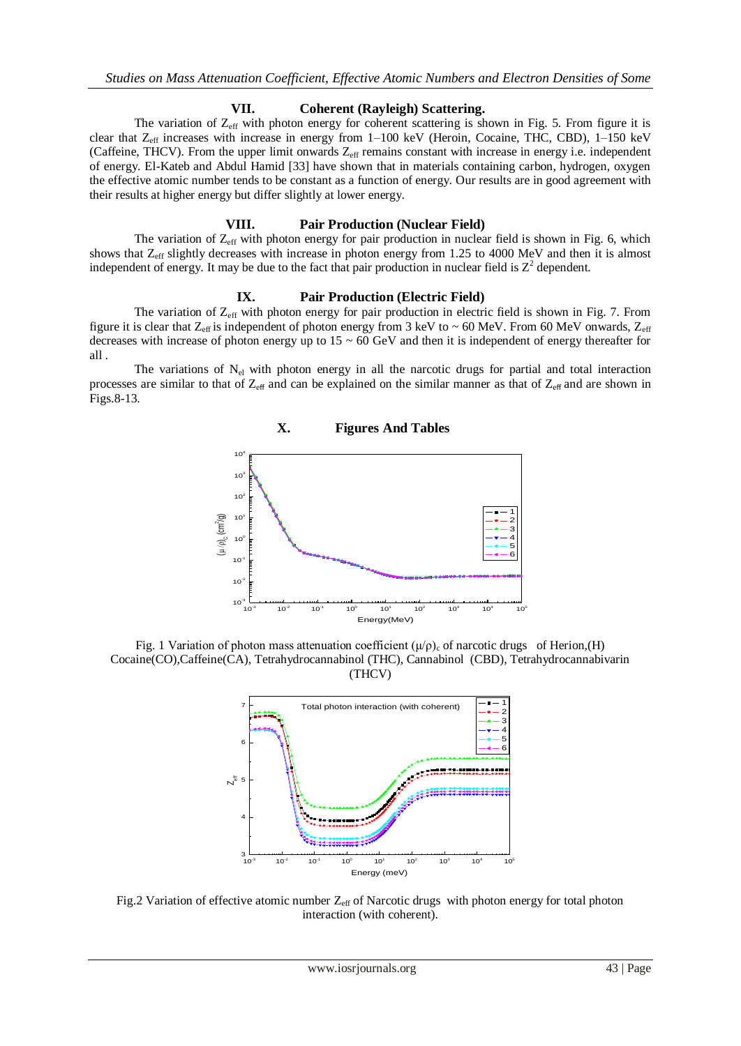#### **VII. Coherent (Rayleigh) Scattering.**

The variation of  $Z_{\text{eff}}$  with photon energy for coherent scattering is shown in Fig. 5. From figure it is clear that Z<sub>eff</sub> increases with increase in energy from 1–100 keV (Heroin, Cocaine, THC, CBD), 1–150 keV (Caffeine, THCV). From the upper limit onwards  $Z_{\text{eff}}$  remains constant with increase in energy i.e. independent of energy. El-Kateb and Abdul Hamid [33] have shown that in materials containing carbon, hydrogen, oxygen the effective atomic number tends to be constant as a function of energy. Our results are in good agreement with their results at higher energy but differ slightly at lower energy.

### **VIII. Pair Production (Nuclear Field)**

The variation of  $Z_{\text{eff}}$  with photon energy for pair production in nuclear field is shown in Fig. 6, which shows that Zeff slightly decreases with increase in photon energy from 1.25 to 4000 MeV and then it is almost independent of energy. It may be due to the fact that pair production in nuclear field is  $Z^2$  dependent.

#### **IX. Pair Production (Electric Field)**

The variation of  $Z_{\text{eff}}$  with photon energy for pair production in electric field is shown in Fig. 7. From figure it is clear that  $Z_{\text{eff}}$  is independent of photon energy from 3 keV to ~ 60 MeV. From 60 MeV onwards,  $Z_{\text{eff}}$ decreases with increase of photon energy up to  $15 \sim 60 \text{ GeV}$  and then it is independent of energy thereafter for all .

The variations of N<sub>el</sub> with photon energy in all the narcotic drugs for partial and total interaction processes are similar to that of  $Z_{\text{eff}}$  and can be explained on the similar manner as that of  $Z_{\text{eff}}$  and are shown in Figs.8-13.



Fig. 1 Variation of photon mass attenuation coefficient  $(\mu/\rho)$ <sub>c</sub> of narcotic drugs of Herion,(H) Cocaine(CO),Caffeine(CA), Tetrahydrocannabinol (THC), Cannabinol (CBD), Tetrahydrocannabivarin (THCV)



Fig.2 Variation of effective atomic number  $Z_{\text{eff}}$  of Narcotic drugs with photon energy for total photon interaction (with coherent).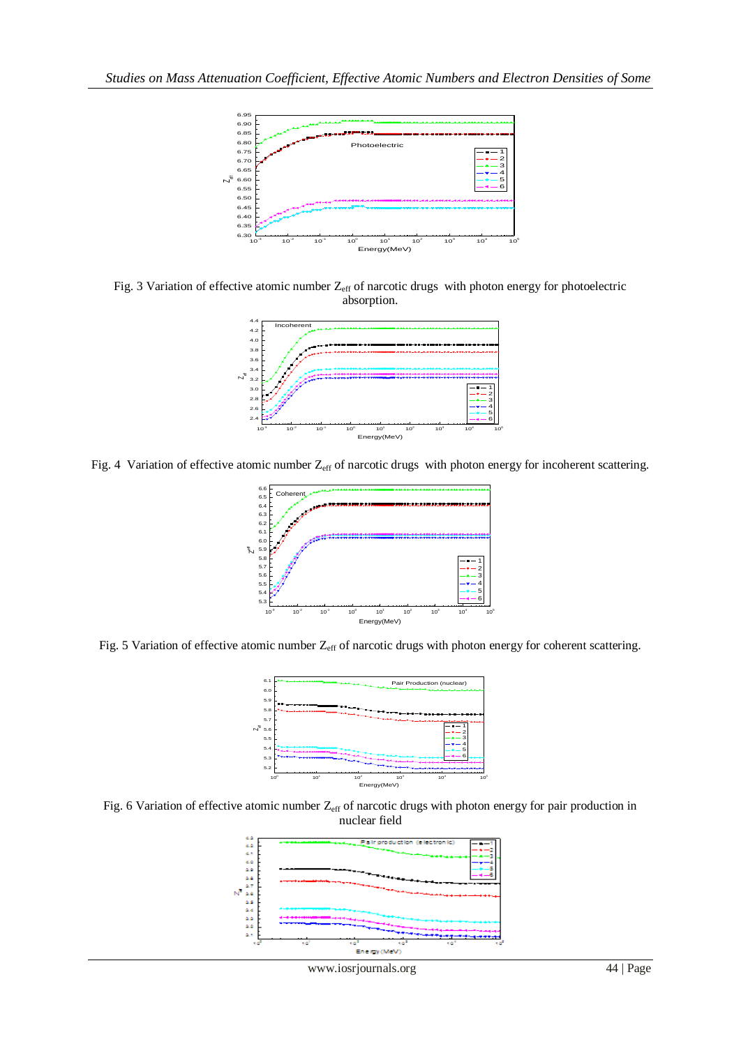

Fig. 3 Variation of effective atomic number  $Z_{\text{eff}}$  of narcotic drugs with photon energy for photoelectric absorption.



Fig. 4 Variation of effective atomic number  $Z_{eff}$  of narcotic drugs with photon energy for incoherent scattering.







Fig. 6 Variation of effective atomic number Z<sub>eff</sub> of narcotic drugs with photon energy for pair production in nuclear field



www.iosrjournals.org 44 | Page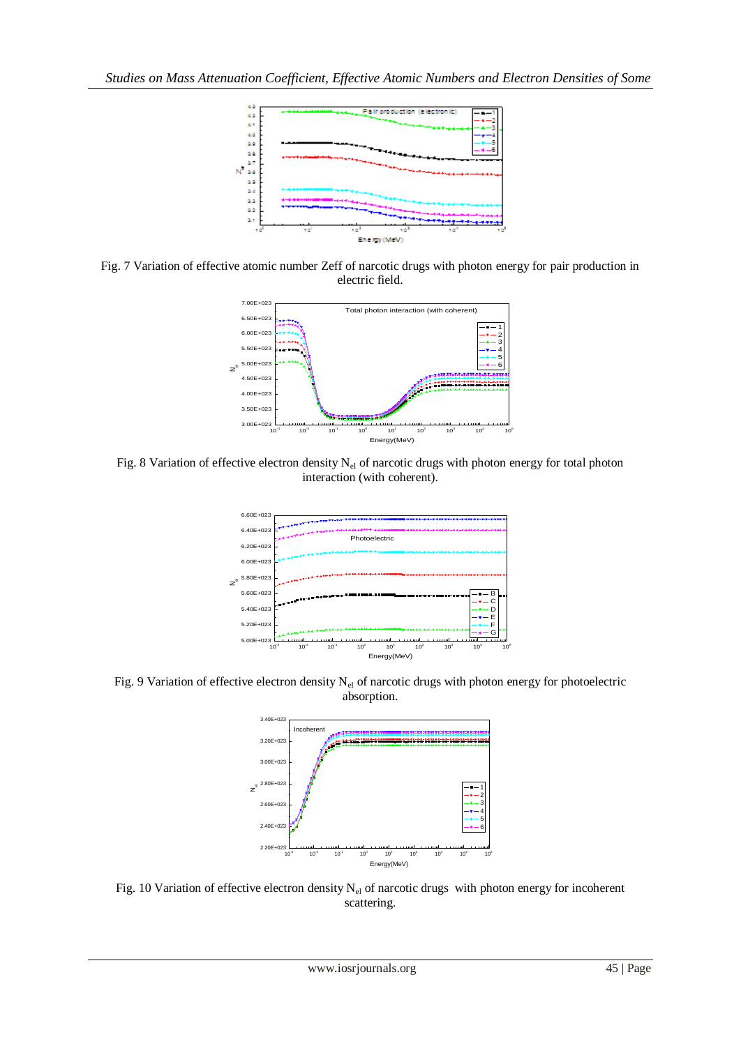

Fig. 7 Variation of effective atomic number Zeff of narcotic drugs with photon energy for pair production in electric field.



Fig. 8 Variation of effective electron density N<sub>el</sub> of narcotic drugs with photon energy for total photon interaction (with coherent).



Fig. 9 Variation of effective electron density  $N_{el}$  of narcotic drugs with photon energy for photoelectric absorption.



Fig. 10 Variation of effective electron density  $N_{el}$  of narcotic drugs with photon energy for incoherent scattering.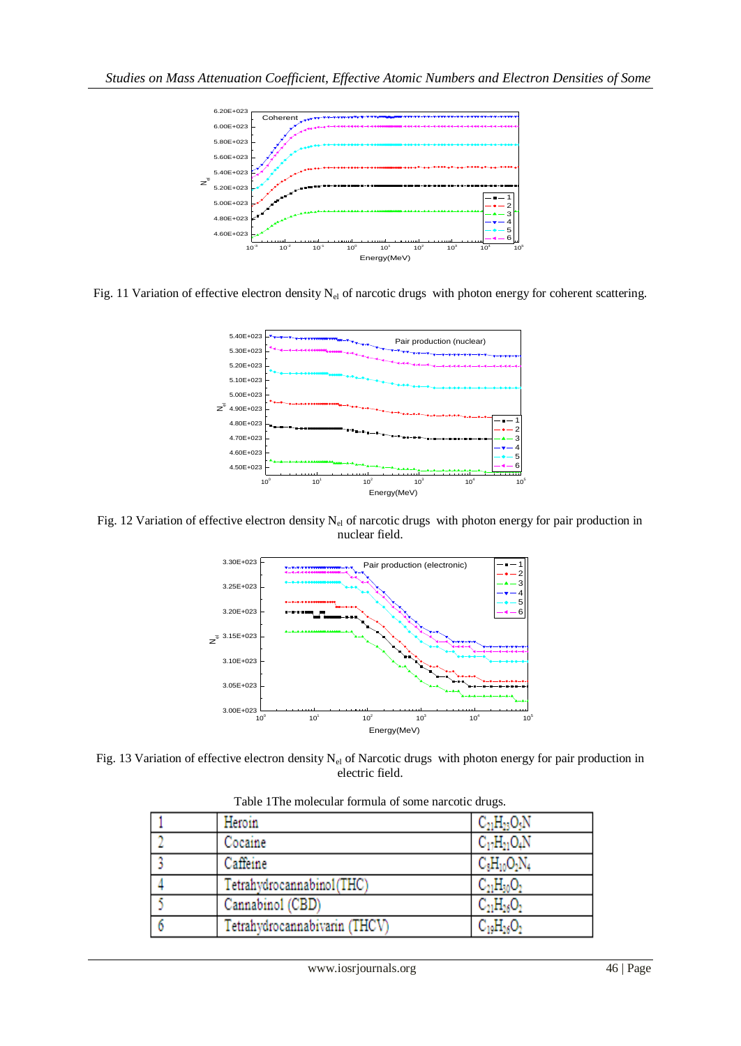

Fig. 11 Variation of effective electron density  $N_{el}$  of narcotic drugs with photon energy for coherent scattering.



Fig. 12 Variation of effective electron density N<sub>el</sub> of narcotic drugs with photon energy for pair production in nuclear field.



Fig. 13 Variation of effective electron density  $N_{el}$  of Narcotic drugs with photon energy for pair production in electric field.

| Heroin                        | $C_{21}H_{23}O_5N$ |
|-------------------------------|--------------------|
| Cocaine                       | $C_{17}H_{21}O_4N$ |
| Caffeine                      | $C_8H_{10}O_2N_4$  |
| Tetrahydrocannabinol(THC)     | $C_{21}H_{30}O_2$  |
| Cannabinol (CBD)              | $C_{21}H_{26}O_2$  |
| Tetrahydrocannabivarin (THCV) | $C_{19}H_{26}O_2$  |

Table 1The molecular formula of some narcotic drugs.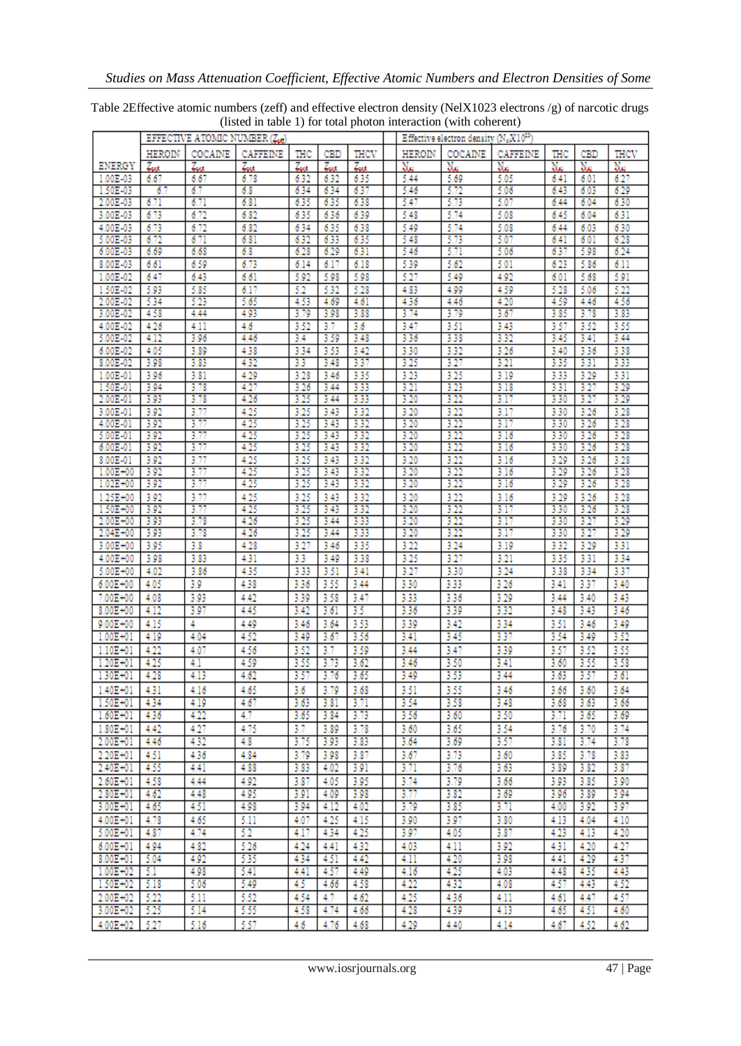| COCAINE<br>HEROIN<br>CAFFEINE<br>THC<br>THCV<br>HEROIN<br>COCAINE<br>CAFFEINE<br>THC<br>THCV<br>CBD<br>CBD<br>ENERGY<br>Na<br>Nш<br>Zur<br>Zue<br>Zue<br>Nш<br>Nш<br>Zue<br>7. a<br>Tres<br>Nш<br>Nш<br>6.27<br>6.67<br>5.05<br>1.00E-03<br>6.67<br>6.78<br>6.32<br>6.32<br>6.35<br>5.44<br>5.69<br>6.41<br>6.01<br>5.72<br>6.29<br>1.50E-03<br>6.7<br>6.7<br>6.8<br>6.34<br>6.34<br>6.37<br>5.46<br>5.06<br>6.43<br>6.03<br>6.71<br>5.73<br>5.07<br>2.00E-03<br>6.71<br>6.81<br>6.35<br>5.47<br>6.04<br>6.30<br>635<br>6.38<br>6.44<br>6.73<br>6.72<br>6.82<br>6.35<br>6.36<br>6.39<br>5.48<br>5.74<br>5.08<br>6.31<br>3.00E-03<br>6.45<br>6.04<br>6.30<br>4.00E-03<br>6.73<br>6.72<br>6.82<br>6.38<br>5.49<br>5.74<br>5.08<br>6.34<br>635<br>6.44<br>6.03<br>5.07<br>6.28<br>5.00E-03<br>6.72<br>6.71<br>5.48<br>6.81<br>6.32<br>6.33<br>6.35<br>5.73<br>6.41<br>6.01<br>6.24<br>6.00E-03<br>6.69<br>6.68<br>6.8<br>6.28<br>6.29<br>6.31<br>5.46<br>5.71<br>5.06<br>6.37<br>5.98<br>6.73<br>6.11<br>8.00E-03<br>6.61<br>6.59<br>6.14<br>6.17<br>6.18<br>5.39<br>5.62<br>5.01<br>6.23<br>5.86<br>1.00E-02<br>5.92<br>5.27<br>4.92<br>5.68<br>5.91<br>6.47<br>6.43<br>6.61<br>5.98<br>5.98<br>5.49<br>6.01<br>6.17<br>52<br>5.32<br>5.28<br>4.59<br>5.22<br>1.50E-02<br>5.93<br>5.85<br>4.83<br>4.99<br>5.28<br>5.06<br>4.56<br>2.00E-02<br>5.34<br>5.23<br>5.65<br>4.53<br>4.69<br>4.61<br>4.36<br>4.46<br>4.20<br>4.59<br>4.46<br>3.79<br>3.67<br>3.83<br>3.00E-02<br>4.58<br>4.44<br>4.93<br>3.79<br>3.98<br>3.88<br>3.74<br>3.85<br>3.78<br>3.55<br>4.6<br>3.52<br>3.7<br>3.6<br>3.47<br>3.51<br>3.43<br>3.57<br>3.52<br>4.00E-02<br>4.26<br>4.11<br>3.32<br>3.44<br>5.00E-02<br>3.96<br>4.46<br>3.59<br>3.48<br>3.36<br>3.38<br>3.45<br>3.41<br>4.12<br>3.4<br>3.53<br>3.32<br>3.26<br>3.38<br>6.00E-02<br>4.05<br>3.89<br>4.38<br>3.34<br>3.42<br>3.30<br>3.40<br>3.36<br>3.33<br>4.32<br>3.37<br>3.25<br>3.27<br>3.21<br>8.00E-02<br>3.98<br>3.83<br>33<br>3.48<br>3.35<br>3.31<br>3.25<br>3.31<br>1.00E-01<br>3.96<br>3.81<br>4.29<br>3.28<br>3.46<br>3.35<br>3.23<br>3.19<br>3.33<br>3.29<br>4.27<br>3.27<br>3.29<br>3.94<br>3.78<br>3.33<br>3.21<br>3.23<br>3.18<br>1.50E-01<br>3.26<br>3.44<br>3.31<br>4.26<br>3.33<br>3.22<br>3.27<br>3.29<br>2.00E-01<br>3.93<br>3.78<br>3.25<br>3.44<br>3.20<br>3.17<br>3.30<br>3.77<br>4.25<br>3.92<br>3.32<br>3.20<br>3.22<br>3.17<br>3.26<br>3.28<br>3.00E-01<br>3.25<br>3.43<br>3.30<br>3.92<br>3.77<br>4.25<br>3.25<br>3.43<br>3.32<br>3.22<br>3.28<br>4.00E-01<br>3.20<br>3.17<br>3.30<br>3.26<br>3.77<br>4.25<br>3.28<br>3.25<br>3.43<br>3.32<br>3.20<br>3.22<br>3.16<br>3.26<br>5.00E-01<br>3.92<br>3.30<br>3.22<br>3.28<br>3.92<br>3.77<br>4.25<br>3.32<br>3.20<br>6.00E-01<br>3.25<br>3.43<br>3.16<br>3.30<br>3.26<br>3.77<br>4.25<br>3.28<br>3.92<br>3.25<br>3.32<br>3.16<br>3.29<br>3.26<br>8.00E-01<br>3.43<br>3.20<br>3.22<br>3.77<br>4.25<br>3.22<br>3.28<br>$1.00E + 00$<br>3.92<br>3.25<br>3.43<br>3.32<br>3.20<br>3.16<br>3.29<br>3.26<br>3.77<br>4.25<br>$1.02E + 00$<br>3.92<br>3.25<br>3.32<br>3.20<br>3.22<br>3.26<br>3.28<br>3.43<br>3.16<br>3.29<br>1.25E+00<br>3.77<br>4.25<br>3.29<br>3.28<br>3.92<br>3.25<br>3.43<br>3.32<br>3.20<br>3.22<br>3.16<br>3.26<br>1.50E+00<br>3.92<br>3.77<br>4.25<br>3.25<br>3.43<br>3.32<br>3.20<br>3.22<br>3.30<br>3.28<br>3.17<br>3.26<br>3.29<br>3.93<br>3.78<br>4.26<br>3.20<br>3.22<br>3.27<br>2.00E+00<br>3.25<br>3.44<br>3.33<br>3.17<br>3.30<br>3.22<br>3.29<br>$2.04E + 00$<br>3.93<br>3.78<br>4.26<br>3.25<br>3.33<br>3.20<br>3.17<br>3.30<br>3.27<br>3.44<br>4.28<br>3.29<br>3.31<br>3.00E+00<br>3.95<br>3.8<br>3.27<br>3.35<br>3.22<br>3.24<br>3.19<br>3.32<br>3.46<br>4.31<br>3.25<br>3.27<br>3.21<br>3.34<br>3.98<br>3.83<br>3.3<br>3.49<br>3.38<br>3.35<br>3.31<br>4.00E+00<br>3.37<br>4.35<br>3.51<br>3.27<br>3.24<br>3.34<br>5.00E+00<br>4.02<br>3.86<br>3.33<br>3.41<br>3.30<br>3.38<br>3.9<br>4.38<br>3.55<br>3.33<br>3.26<br>3.37<br>$6.00E + 00$<br>4.05<br>3.36<br>3.44<br>3.30<br>3.41<br>3.40<br>4.42<br>3.39<br>3.58<br>3.47<br>3.36<br>3.29<br>3.40<br>3.43<br>7.00E+00<br>4.08<br>3.93<br>3.33<br>3.44<br>3.97<br>3.32<br>3.46<br>$8.00E + 00$<br>4.12<br>4.45<br>35<br>3.36<br>3.39<br>3.43<br>3.42<br>3.61<br>3.48<br>4<br>4.49<br>3.64<br>3.53<br>3.39<br>3.42<br>3.34<br>3.51<br>3.49<br>$9.00E + 00$<br>4.15<br>3.46<br>3.46<br>4.52<br>3.37<br>3.52<br>3.67<br>3.56<br>3.41<br>3.45<br>3.49<br>$1.00E + 01$<br>4.19<br>4.04<br>3.49<br>3.54<br>3.7<br>3.55<br>4.22<br>4.56<br>3.59<br>3.44<br>3.47<br>3.39<br>3.57<br>3.52<br>$1.10E + 01$<br>4.07<br>3.52<br>4.25<br>4.59<br>3.50<br>3.41<br>3.55<br>3.58<br>$1.20E + 01$<br>4.1<br>3.55<br>3.73<br>3.62<br>3.46<br>3.60<br>4.62<br>1.30E+01<br>4.28<br>3.57<br>3.76<br>3.65<br>3.49<br>3.53<br>3.44<br>3.63<br>3.57<br>3.61<br>4.13<br>$1.40E + 01$<br>3.79<br>3.51<br>3.60<br>3.64<br>4.31<br>3.68<br>3.55<br>3.46<br>4.16<br>4.65<br>3.6<br>$3.66$  <br>1.50E+01<br>4.34<br>4.19<br>4.67<br>3.54<br>3.58<br>3.48<br>3.66<br>3.63<br>3.81<br>3.71<br>3.68<br>3.63<br>4.7<br>4.22<br>3.73<br>3.50<br>$1.60E + 01$<br>4.36<br>3.65<br>3.84<br>3.56<br>3.60<br>3.71<br>3.65<br>3.69<br>3.70<br>3.74<br>1.80E+01<br>4.27<br>4.75<br>3.7<br>3.89<br>3.78<br>3.60<br>3.65<br>3.54<br>3.76<br>4.42<br>3.57<br>3.78<br>2.00E+01<br>4.46<br>4.32<br>4.8<br>3.75<br>3.93<br>3.83<br>3.64<br>3.69<br>3.81<br>3.74<br>3.87<br>3.73<br>3.78<br>2.20E+01<br>4.51<br>4.36<br>4.84<br>3.79<br>3.98<br>3.67<br>3.60<br>3.85<br>3.83<br>4.88<br>3.71<br>3.76<br>3.63<br>3.87<br>2.40E+01<br>4.55<br>4.41<br>3.83<br>4.02<br>3.91<br>3.89<br>3.82<br>4.92<br>3.79<br>$2.60E + 01$<br>4.58<br>4.44<br>3.87<br>4.05<br>3.95<br>3.74<br>3.66<br>3.93<br>3.85<br>3.90<br>3.77<br>2.80E+01<br>4.62<br>4.48<br>4.95<br>3.91<br>4.09<br>3.98<br>3.82<br>3.69<br>3.96<br>3.89<br>3.94<br>451<br>3.71<br>$3.00E + 01$<br>4.65<br>4.98<br>4.12<br>4.02<br>3.79<br>3.85<br>4.00<br>3.92<br>3.97<br>3.94<br>3.97<br>4.00E+01<br>4.78<br>4.65<br>5.11<br>4.07<br>4.25<br>4.15<br>3.90<br>3.80<br>4.13<br>4.04<br>4.10<br>4.74<br>52<br>4.34<br>4.25<br>3.97<br>4.05<br>3.87<br>4.23<br>4.13<br>4.20<br>5.00E+01<br>4.87<br>4.17<br>4.27<br>6.00E+01<br>5.26<br>4.24<br>4.32<br>4.11<br>3.92<br>4.20<br>4.94<br>4.82<br>4.41<br>4.03<br>4.31<br>4.20<br>3.98<br>4.29<br>$8.00E + 01$<br>5.04<br>4.92<br>535<br>4.51<br>4.42<br>4.41<br>4.37<br>4.34<br>4.11<br>4.57<br>4.25<br>4.03<br>$1.00E + 02$<br>-5.1<br>4.98<br>5.41<br>4.49<br>435<br>4.43<br>4.41<br>4.16<br>4.48<br>5.49<br>4.58<br>4.22<br>4.32<br>4.08<br>4.52<br>$1.50E + 02$<br>-5.18<br>5.06<br>45<br>4.66<br>4.57<br>4.43<br>5.22<br>5.11<br>5.52<br>4.25<br>4.11<br>4.57<br>2.00E+02<br>4.54<br>4.7<br>4.62<br>4.36<br>4.47<br>4.61<br>5.25<br>5,55<br>4.39<br>4.13<br>3.00E+02<br>5.14<br>4.58<br>4.74<br>4.66<br>4.28<br>4.65<br>4.51<br>4.60 |          | EFFECTIVE ATOMIC NUMBER (Ze) |      |      |     |      |      |  | Effective electron density (N <sub>o</sub> X10 <sup>22</sup> ) |      |      |      |      |      |  |
|---------------------------------------------------------------------------------------------------------------------------------------------------------------------------------------------------------------------------------------------------------------------------------------------------------------------------------------------------------------------------------------------------------------------------------------------------------------------------------------------------------------------------------------------------------------------------------------------------------------------------------------------------------------------------------------------------------------------------------------------------------------------------------------------------------------------------------------------------------------------------------------------------------------------------------------------------------------------------------------------------------------------------------------------------------------------------------------------------------------------------------------------------------------------------------------------------------------------------------------------------------------------------------------------------------------------------------------------------------------------------------------------------------------------------------------------------------------------------------------------------------------------------------------------------------------------------------------------------------------------------------------------------------------------------------------------------------------------------------------------------------------------------------------------------------------------------------------------------------------------------------------------------------------------------------------------------------------------------------------------------------------------------------------------------------------------------------------------------------------------------------------------------------------------------------------------------------------------------------------------------------------------------------------------------------------------------------------------------------------------------------------------------------------------------------------------------------------------------------------------------------------------------------------------------------------------------------------------------------------------------------------------------------------------------------------------------------------------------------------------------------------------------------------------------------------------------------------------------------------------------------------------------------------------------------------------------------------------------------------------------------------------------------------------------------------------------------------------------------------------------------------------------------------------------------------------------------------------------------------------------------------------------------------------------------------------------------------------------------------------------------------------------------------------------------------------------------------------------------------------------------------------------------------------------------------------------------------------------------------------------------------------------------------------------------------------------------------------------------------------------------------------------------------------------------------------------------------------------------------------------------------------------------------------------------------------------------------------------------------------------------------------------------------------------------------------------------------------------------------------------------------------------------------------------------------------------------------------------------------------------------------------------------------------------------------------------------------------------------------------------------------------------------------------------------------------------------------------------------------------------------------------------------------------------------------------------------------------------------------------------------------------------------------------------------------------------------------------------------------------------------------------------------------------------------------------------------------------------------------------------------------------------------------------------------------------------------------------------------------------------------------------------------------------------------------------------------------------------------------------------------------------------------------------------------------------------------------------------------------------------------------------------------------------------------------------------------------------------------------------------------------------------------------------------------------------------------------------------------------------------------------------------------------------------------------------------------------------------------------------------------------------------------------------------------------------------------------------------------------------------------------------------------------------------------------------------------------------------------------------------------------------------------------------------------------------------------------------------------------------------------------------------------------------------------------------------------------------------------------------------------------------------------------------------------------------------------------------------------------------------------------------------------------------------------------------------------------------------------------------------------------------------------------------------------------------------------------------------------------------------------------------------------------------------------------------------------------------------------------------------------------------------------------------------------------------------------------------------------------------------------------------------------------------------------------------------------------------------------------------------|----------|------------------------------|------|------|-----|------|------|--|----------------------------------------------------------------|------|------|------|------|------|--|
|                                                                                                                                                                                                                                                                                                                                                                                                                                                                                                                                                                                                                                                                                                                                                                                                                                                                                                                                                                                                                                                                                                                                                                                                                                                                                                                                                                                                                                                                                                                                                                                                                                                                                                                                                                                                                                                                                                                                                                                                                                                                                                                                                                                                                                                                                                                                                                                                                                                                                                                                                                                                                                                                                                                                                                                                                                                                                                                                                                                                                                                                                                                                                                                                                                                                                                                                                                                                                                                                                                                                                                                                                                                                                                                                                                                                                                                                                                                                                                                                                                                                                                                                                                                                                                                                                                                                                                                                                                                                                                                                                                                                                                                                                                                                                                                                                                                                                                                                                                                                                                                                                                                                                                                                                                                                                                                                                                                                                                                                                                                                                                                                                                                                                                                                                                                                                                                                                                                                                                                                                                                                                                                                                                                                                                                                                                                                                                                                                                                                                                                                                                                                                                                                                                                                                                                                                                                                           |          |                              |      |      |     |      |      |  |                                                                |      |      |      |      |      |  |
|                                                                                                                                                                                                                                                                                                                                                                                                                                                                                                                                                                                                                                                                                                                                                                                                                                                                                                                                                                                                                                                                                                                                                                                                                                                                                                                                                                                                                                                                                                                                                                                                                                                                                                                                                                                                                                                                                                                                                                                                                                                                                                                                                                                                                                                                                                                                                                                                                                                                                                                                                                                                                                                                                                                                                                                                                                                                                                                                                                                                                                                                                                                                                                                                                                                                                                                                                                                                                                                                                                                                                                                                                                                                                                                                                                                                                                                                                                                                                                                                                                                                                                                                                                                                                                                                                                                                                                                                                                                                                                                                                                                                                                                                                                                                                                                                                                                                                                                                                                                                                                                                                                                                                                                                                                                                                                                                                                                                                                                                                                                                                                                                                                                                                                                                                                                                                                                                                                                                                                                                                                                                                                                                                                                                                                                                                                                                                                                                                                                                                                                                                                                                                                                                                                                                                                                                                                                                           |          |                              |      |      |     |      |      |  |                                                                |      |      |      |      |      |  |
|                                                                                                                                                                                                                                                                                                                                                                                                                                                                                                                                                                                                                                                                                                                                                                                                                                                                                                                                                                                                                                                                                                                                                                                                                                                                                                                                                                                                                                                                                                                                                                                                                                                                                                                                                                                                                                                                                                                                                                                                                                                                                                                                                                                                                                                                                                                                                                                                                                                                                                                                                                                                                                                                                                                                                                                                                                                                                                                                                                                                                                                                                                                                                                                                                                                                                                                                                                                                                                                                                                                                                                                                                                                                                                                                                                                                                                                                                                                                                                                                                                                                                                                                                                                                                                                                                                                                                                                                                                                                                                                                                                                                                                                                                                                                                                                                                                                                                                                                                                                                                                                                                                                                                                                                                                                                                                                                                                                                                                                                                                                                                                                                                                                                                                                                                                                                                                                                                                                                                                                                                                                                                                                                                                                                                                                                                                                                                                                                                                                                                                                                                                                                                                                                                                                                                                                                                                                                           |          |                              |      |      |     |      |      |  |                                                                |      |      |      |      |      |  |
|                                                                                                                                                                                                                                                                                                                                                                                                                                                                                                                                                                                                                                                                                                                                                                                                                                                                                                                                                                                                                                                                                                                                                                                                                                                                                                                                                                                                                                                                                                                                                                                                                                                                                                                                                                                                                                                                                                                                                                                                                                                                                                                                                                                                                                                                                                                                                                                                                                                                                                                                                                                                                                                                                                                                                                                                                                                                                                                                                                                                                                                                                                                                                                                                                                                                                                                                                                                                                                                                                                                                                                                                                                                                                                                                                                                                                                                                                                                                                                                                                                                                                                                                                                                                                                                                                                                                                                                                                                                                                                                                                                                                                                                                                                                                                                                                                                                                                                                                                                                                                                                                                                                                                                                                                                                                                                                                                                                                                                                                                                                                                                                                                                                                                                                                                                                                                                                                                                                                                                                                                                                                                                                                                                                                                                                                                                                                                                                                                                                                                                                                                                                                                                                                                                                                                                                                                                                                           |          |                              |      |      |     |      |      |  |                                                                |      |      |      |      |      |  |
|                                                                                                                                                                                                                                                                                                                                                                                                                                                                                                                                                                                                                                                                                                                                                                                                                                                                                                                                                                                                                                                                                                                                                                                                                                                                                                                                                                                                                                                                                                                                                                                                                                                                                                                                                                                                                                                                                                                                                                                                                                                                                                                                                                                                                                                                                                                                                                                                                                                                                                                                                                                                                                                                                                                                                                                                                                                                                                                                                                                                                                                                                                                                                                                                                                                                                                                                                                                                                                                                                                                                                                                                                                                                                                                                                                                                                                                                                                                                                                                                                                                                                                                                                                                                                                                                                                                                                                                                                                                                                                                                                                                                                                                                                                                                                                                                                                                                                                                                                                                                                                                                                                                                                                                                                                                                                                                                                                                                                                                                                                                                                                                                                                                                                                                                                                                                                                                                                                                                                                                                                                                                                                                                                                                                                                                                                                                                                                                                                                                                                                                                                                                                                                                                                                                                                                                                                                                                           |          |                              |      |      |     |      |      |  |                                                                |      |      |      |      |      |  |
|                                                                                                                                                                                                                                                                                                                                                                                                                                                                                                                                                                                                                                                                                                                                                                                                                                                                                                                                                                                                                                                                                                                                                                                                                                                                                                                                                                                                                                                                                                                                                                                                                                                                                                                                                                                                                                                                                                                                                                                                                                                                                                                                                                                                                                                                                                                                                                                                                                                                                                                                                                                                                                                                                                                                                                                                                                                                                                                                                                                                                                                                                                                                                                                                                                                                                                                                                                                                                                                                                                                                                                                                                                                                                                                                                                                                                                                                                                                                                                                                                                                                                                                                                                                                                                                                                                                                                                                                                                                                                                                                                                                                                                                                                                                                                                                                                                                                                                                                                                                                                                                                                                                                                                                                                                                                                                                                                                                                                                                                                                                                                                                                                                                                                                                                                                                                                                                                                                                                                                                                                                                                                                                                                                                                                                                                                                                                                                                                                                                                                                                                                                                                                                                                                                                                                                                                                                                                           |          |                              |      |      |     |      |      |  |                                                                |      |      |      |      |      |  |
|                                                                                                                                                                                                                                                                                                                                                                                                                                                                                                                                                                                                                                                                                                                                                                                                                                                                                                                                                                                                                                                                                                                                                                                                                                                                                                                                                                                                                                                                                                                                                                                                                                                                                                                                                                                                                                                                                                                                                                                                                                                                                                                                                                                                                                                                                                                                                                                                                                                                                                                                                                                                                                                                                                                                                                                                                                                                                                                                                                                                                                                                                                                                                                                                                                                                                                                                                                                                                                                                                                                                                                                                                                                                                                                                                                                                                                                                                                                                                                                                                                                                                                                                                                                                                                                                                                                                                                                                                                                                                                                                                                                                                                                                                                                                                                                                                                                                                                                                                                                                                                                                                                                                                                                                                                                                                                                                                                                                                                                                                                                                                                                                                                                                                                                                                                                                                                                                                                                                                                                                                                                                                                                                                                                                                                                                                                                                                                                                                                                                                                                                                                                                                                                                                                                                                                                                                                                                           |          |                              |      |      |     |      |      |  |                                                                |      |      |      |      |      |  |
|                                                                                                                                                                                                                                                                                                                                                                                                                                                                                                                                                                                                                                                                                                                                                                                                                                                                                                                                                                                                                                                                                                                                                                                                                                                                                                                                                                                                                                                                                                                                                                                                                                                                                                                                                                                                                                                                                                                                                                                                                                                                                                                                                                                                                                                                                                                                                                                                                                                                                                                                                                                                                                                                                                                                                                                                                                                                                                                                                                                                                                                                                                                                                                                                                                                                                                                                                                                                                                                                                                                                                                                                                                                                                                                                                                                                                                                                                                                                                                                                                                                                                                                                                                                                                                                                                                                                                                                                                                                                                                                                                                                                                                                                                                                                                                                                                                                                                                                                                                                                                                                                                                                                                                                                                                                                                                                                                                                                                                                                                                                                                                                                                                                                                                                                                                                                                                                                                                                                                                                                                                                                                                                                                                                                                                                                                                                                                                                                                                                                                                                                                                                                                                                                                                                                                                                                                                                                           |          |                              |      |      |     |      |      |  |                                                                |      |      |      |      |      |  |
|                                                                                                                                                                                                                                                                                                                                                                                                                                                                                                                                                                                                                                                                                                                                                                                                                                                                                                                                                                                                                                                                                                                                                                                                                                                                                                                                                                                                                                                                                                                                                                                                                                                                                                                                                                                                                                                                                                                                                                                                                                                                                                                                                                                                                                                                                                                                                                                                                                                                                                                                                                                                                                                                                                                                                                                                                                                                                                                                                                                                                                                                                                                                                                                                                                                                                                                                                                                                                                                                                                                                                                                                                                                                                                                                                                                                                                                                                                                                                                                                                                                                                                                                                                                                                                                                                                                                                                                                                                                                                                                                                                                                                                                                                                                                                                                                                                                                                                                                                                                                                                                                                                                                                                                                                                                                                                                                                                                                                                                                                                                                                                                                                                                                                                                                                                                                                                                                                                                                                                                                                                                                                                                                                                                                                                                                                                                                                                                                                                                                                                                                                                                                                                                                                                                                                                                                                                                                           |          |                              |      |      |     |      |      |  |                                                                |      |      |      |      |      |  |
|                                                                                                                                                                                                                                                                                                                                                                                                                                                                                                                                                                                                                                                                                                                                                                                                                                                                                                                                                                                                                                                                                                                                                                                                                                                                                                                                                                                                                                                                                                                                                                                                                                                                                                                                                                                                                                                                                                                                                                                                                                                                                                                                                                                                                                                                                                                                                                                                                                                                                                                                                                                                                                                                                                                                                                                                                                                                                                                                                                                                                                                                                                                                                                                                                                                                                                                                                                                                                                                                                                                                                                                                                                                                                                                                                                                                                                                                                                                                                                                                                                                                                                                                                                                                                                                                                                                                                                                                                                                                                                                                                                                                                                                                                                                                                                                                                                                                                                                                                                                                                                                                                                                                                                                                                                                                                                                                                                                                                                                                                                                                                                                                                                                                                                                                                                                                                                                                                                                                                                                                                                                                                                                                                                                                                                                                                                                                                                                                                                                                                                                                                                                                                                                                                                                                                                                                                                                                           |          |                              |      |      |     |      |      |  |                                                                |      |      |      |      |      |  |
|                                                                                                                                                                                                                                                                                                                                                                                                                                                                                                                                                                                                                                                                                                                                                                                                                                                                                                                                                                                                                                                                                                                                                                                                                                                                                                                                                                                                                                                                                                                                                                                                                                                                                                                                                                                                                                                                                                                                                                                                                                                                                                                                                                                                                                                                                                                                                                                                                                                                                                                                                                                                                                                                                                                                                                                                                                                                                                                                                                                                                                                                                                                                                                                                                                                                                                                                                                                                                                                                                                                                                                                                                                                                                                                                                                                                                                                                                                                                                                                                                                                                                                                                                                                                                                                                                                                                                                                                                                                                                                                                                                                                                                                                                                                                                                                                                                                                                                                                                                                                                                                                                                                                                                                                                                                                                                                                                                                                                                                                                                                                                                                                                                                                                                                                                                                                                                                                                                                                                                                                                                                                                                                                                                                                                                                                                                                                                                                                                                                                                                                                                                                                                                                                                                                                                                                                                                                                           |          |                              |      |      |     |      |      |  |                                                                |      |      |      |      |      |  |
|                                                                                                                                                                                                                                                                                                                                                                                                                                                                                                                                                                                                                                                                                                                                                                                                                                                                                                                                                                                                                                                                                                                                                                                                                                                                                                                                                                                                                                                                                                                                                                                                                                                                                                                                                                                                                                                                                                                                                                                                                                                                                                                                                                                                                                                                                                                                                                                                                                                                                                                                                                                                                                                                                                                                                                                                                                                                                                                                                                                                                                                                                                                                                                                                                                                                                                                                                                                                                                                                                                                                                                                                                                                                                                                                                                                                                                                                                                                                                                                                                                                                                                                                                                                                                                                                                                                                                                                                                                                                                                                                                                                                                                                                                                                                                                                                                                                                                                                                                                                                                                                                                                                                                                                                                                                                                                                                                                                                                                                                                                                                                                                                                                                                                                                                                                                                                                                                                                                                                                                                                                                                                                                                                                                                                                                                                                                                                                                                                                                                                                                                                                                                                                                                                                                                                                                                                                                                           |          |                              |      |      |     |      |      |  |                                                                |      |      |      |      |      |  |
|                                                                                                                                                                                                                                                                                                                                                                                                                                                                                                                                                                                                                                                                                                                                                                                                                                                                                                                                                                                                                                                                                                                                                                                                                                                                                                                                                                                                                                                                                                                                                                                                                                                                                                                                                                                                                                                                                                                                                                                                                                                                                                                                                                                                                                                                                                                                                                                                                                                                                                                                                                                                                                                                                                                                                                                                                                                                                                                                                                                                                                                                                                                                                                                                                                                                                                                                                                                                                                                                                                                                                                                                                                                                                                                                                                                                                                                                                                                                                                                                                                                                                                                                                                                                                                                                                                                                                                                                                                                                                                                                                                                                                                                                                                                                                                                                                                                                                                                                                                                                                                                                                                                                                                                                                                                                                                                                                                                                                                                                                                                                                                                                                                                                                                                                                                                                                                                                                                                                                                                                                                                                                                                                                                                                                                                                                                                                                                                                                                                                                                                                                                                                                                                                                                                                                                                                                                                                           |          |                              |      |      |     |      |      |  |                                                                |      |      |      |      |      |  |
|                                                                                                                                                                                                                                                                                                                                                                                                                                                                                                                                                                                                                                                                                                                                                                                                                                                                                                                                                                                                                                                                                                                                                                                                                                                                                                                                                                                                                                                                                                                                                                                                                                                                                                                                                                                                                                                                                                                                                                                                                                                                                                                                                                                                                                                                                                                                                                                                                                                                                                                                                                                                                                                                                                                                                                                                                                                                                                                                                                                                                                                                                                                                                                                                                                                                                                                                                                                                                                                                                                                                                                                                                                                                                                                                                                                                                                                                                                                                                                                                                                                                                                                                                                                                                                                                                                                                                                                                                                                                                                                                                                                                                                                                                                                                                                                                                                                                                                                                                                                                                                                                                                                                                                                                                                                                                                                                                                                                                                                                                                                                                                                                                                                                                                                                                                                                                                                                                                                                                                                                                                                                                                                                                                                                                                                                                                                                                                                                                                                                                                                                                                                                                                                                                                                                                                                                                                                                           |          |                              |      |      |     |      |      |  |                                                                |      |      |      |      |      |  |
|                                                                                                                                                                                                                                                                                                                                                                                                                                                                                                                                                                                                                                                                                                                                                                                                                                                                                                                                                                                                                                                                                                                                                                                                                                                                                                                                                                                                                                                                                                                                                                                                                                                                                                                                                                                                                                                                                                                                                                                                                                                                                                                                                                                                                                                                                                                                                                                                                                                                                                                                                                                                                                                                                                                                                                                                                                                                                                                                                                                                                                                                                                                                                                                                                                                                                                                                                                                                                                                                                                                                                                                                                                                                                                                                                                                                                                                                                                                                                                                                                                                                                                                                                                                                                                                                                                                                                                                                                                                                                                                                                                                                                                                                                                                                                                                                                                                                                                                                                                                                                                                                                                                                                                                                                                                                                                                                                                                                                                                                                                                                                                                                                                                                                                                                                                                                                                                                                                                                                                                                                                                                                                                                                                                                                                                                                                                                                                                                                                                                                                                                                                                                                                                                                                                                                                                                                                                                           |          |                              |      |      |     |      |      |  |                                                                |      |      |      |      |      |  |
|                                                                                                                                                                                                                                                                                                                                                                                                                                                                                                                                                                                                                                                                                                                                                                                                                                                                                                                                                                                                                                                                                                                                                                                                                                                                                                                                                                                                                                                                                                                                                                                                                                                                                                                                                                                                                                                                                                                                                                                                                                                                                                                                                                                                                                                                                                                                                                                                                                                                                                                                                                                                                                                                                                                                                                                                                                                                                                                                                                                                                                                                                                                                                                                                                                                                                                                                                                                                                                                                                                                                                                                                                                                                                                                                                                                                                                                                                                                                                                                                                                                                                                                                                                                                                                                                                                                                                                                                                                                                                                                                                                                                                                                                                                                                                                                                                                                                                                                                                                                                                                                                                                                                                                                                                                                                                                                                                                                                                                                                                                                                                                                                                                                                                                                                                                                                                                                                                                                                                                                                                                                                                                                                                                                                                                                                                                                                                                                                                                                                                                                                                                                                                                                                                                                                                                                                                                                                           |          |                              |      |      |     |      |      |  |                                                                |      |      |      |      |      |  |
|                                                                                                                                                                                                                                                                                                                                                                                                                                                                                                                                                                                                                                                                                                                                                                                                                                                                                                                                                                                                                                                                                                                                                                                                                                                                                                                                                                                                                                                                                                                                                                                                                                                                                                                                                                                                                                                                                                                                                                                                                                                                                                                                                                                                                                                                                                                                                                                                                                                                                                                                                                                                                                                                                                                                                                                                                                                                                                                                                                                                                                                                                                                                                                                                                                                                                                                                                                                                                                                                                                                                                                                                                                                                                                                                                                                                                                                                                                                                                                                                                                                                                                                                                                                                                                                                                                                                                                                                                                                                                                                                                                                                                                                                                                                                                                                                                                                                                                                                                                                                                                                                                                                                                                                                                                                                                                                                                                                                                                                                                                                                                                                                                                                                                                                                                                                                                                                                                                                                                                                                                                                                                                                                                                                                                                                                                                                                                                                                                                                                                                                                                                                                                                                                                                                                                                                                                                                                           |          |                              |      |      |     |      |      |  |                                                                |      |      |      |      |      |  |
|                                                                                                                                                                                                                                                                                                                                                                                                                                                                                                                                                                                                                                                                                                                                                                                                                                                                                                                                                                                                                                                                                                                                                                                                                                                                                                                                                                                                                                                                                                                                                                                                                                                                                                                                                                                                                                                                                                                                                                                                                                                                                                                                                                                                                                                                                                                                                                                                                                                                                                                                                                                                                                                                                                                                                                                                                                                                                                                                                                                                                                                                                                                                                                                                                                                                                                                                                                                                                                                                                                                                                                                                                                                                                                                                                                                                                                                                                                                                                                                                                                                                                                                                                                                                                                                                                                                                                                                                                                                                                                                                                                                                                                                                                                                                                                                                                                                                                                                                                                                                                                                                                                                                                                                                                                                                                                                                                                                                                                                                                                                                                                                                                                                                                                                                                                                                                                                                                                                                                                                                                                                                                                                                                                                                                                                                                                                                                                                                                                                                                                                                                                                                                                                                                                                                                                                                                                                                           |          |                              |      |      |     |      |      |  |                                                                |      |      |      |      |      |  |
|                                                                                                                                                                                                                                                                                                                                                                                                                                                                                                                                                                                                                                                                                                                                                                                                                                                                                                                                                                                                                                                                                                                                                                                                                                                                                                                                                                                                                                                                                                                                                                                                                                                                                                                                                                                                                                                                                                                                                                                                                                                                                                                                                                                                                                                                                                                                                                                                                                                                                                                                                                                                                                                                                                                                                                                                                                                                                                                                                                                                                                                                                                                                                                                                                                                                                                                                                                                                                                                                                                                                                                                                                                                                                                                                                                                                                                                                                                                                                                                                                                                                                                                                                                                                                                                                                                                                                                                                                                                                                                                                                                                                                                                                                                                                                                                                                                                                                                                                                                                                                                                                                                                                                                                                                                                                                                                                                                                                                                                                                                                                                                                                                                                                                                                                                                                                                                                                                                                                                                                                                                                                                                                                                                                                                                                                                                                                                                                                                                                                                                                                                                                                                                                                                                                                                                                                                                                                           |          |                              |      |      |     |      |      |  |                                                                |      |      |      |      |      |  |
|                                                                                                                                                                                                                                                                                                                                                                                                                                                                                                                                                                                                                                                                                                                                                                                                                                                                                                                                                                                                                                                                                                                                                                                                                                                                                                                                                                                                                                                                                                                                                                                                                                                                                                                                                                                                                                                                                                                                                                                                                                                                                                                                                                                                                                                                                                                                                                                                                                                                                                                                                                                                                                                                                                                                                                                                                                                                                                                                                                                                                                                                                                                                                                                                                                                                                                                                                                                                                                                                                                                                                                                                                                                                                                                                                                                                                                                                                                                                                                                                                                                                                                                                                                                                                                                                                                                                                                                                                                                                                                                                                                                                                                                                                                                                                                                                                                                                                                                                                                                                                                                                                                                                                                                                                                                                                                                                                                                                                                                                                                                                                                                                                                                                                                                                                                                                                                                                                                                                                                                                                                                                                                                                                                                                                                                                                                                                                                                                                                                                                                                                                                                                                                                                                                                                                                                                                                                                           |          |                              |      |      |     |      |      |  |                                                                |      |      |      |      |      |  |
|                                                                                                                                                                                                                                                                                                                                                                                                                                                                                                                                                                                                                                                                                                                                                                                                                                                                                                                                                                                                                                                                                                                                                                                                                                                                                                                                                                                                                                                                                                                                                                                                                                                                                                                                                                                                                                                                                                                                                                                                                                                                                                                                                                                                                                                                                                                                                                                                                                                                                                                                                                                                                                                                                                                                                                                                                                                                                                                                                                                                                                                                                                                                                                                                                                                                                                                                                                                                                                                                                                                                                                                                                                                                                                                                                                                                                                                                                                                                                                                                                                                                                                                                                                                                                                                                                                                                                                                                                                                                                                                                                                                                                                                                                                                                                                                                                                                                                                                                                                                                                                                                                                                                                                                                                                                                                                                                                                                                                                                                                                                                                                                                                                                                                                                                                                                                                                                                                                                                                                                                                                                                                                                                                                                                                                                                                                                                                                                                                                                                                                                                                                                                                                                                                                                                                                                                                                                                           |          |                              |      |      |     |      |      |  |                                                                |      |      |      |      |      |  |
|                                                                                                                                                                                                                                                                                                                                                                                                                                                                                                                                                                                                                                                                                                                                                                                                                                                                                                                                                                                                                                                                                                                                                                                                                                                                                                                                                                                                                                                                                                                                                                                                                                                                                                                                                                                                                                                                                                                                                                                                                                                                                                                                                                                                                                                                                                                                                                                                                                                                                                                                                                                                                                                                                                                                                                                                                                                                                                                                                                                                                                                                                                                                                                                                                                                                                                                                                                                                                                                                                                                                                                                                                                                                                                                                                                                                                                                                                                                                                                                                                                                                                                                                                                                                                                                                                                                                                                                                                                                                                                                                                                                                                                                                                                                                                                                                                                                                                                                                                                                                                                                                                                                                                                                                                                                                                                                                                                                                                                                                                                                                                                                                                                                                                                                                                                                                                                                                                                                                                                                                                                                                                                                                                                                                                                                                                                                                                                                                                                                                                                                                                                                                                                                                                                                                                                                                                                                                           |          |                              |      |      |     |      |      |  |                                                                |      |      |      |      |      |  |
|                                                                                                                                                                                                                                                                                                                                                                                                                                                                                                                                                                                                                                                                                                                                                                                                                                                                                                                                                                                                                                                                                                                                                                                                                                                                                                                                                                                                                                                                                                                                                                                                                                                                                                                                                                                                                                                                                                                                                                                                                                                                                                                                                                                                                                                                                                                                                                                                                                                                                                                                                                                                                                                                                                                                                                                                                                                                                                                                                                                                                                                                                                                                                                                                                                                                                                                                                                                                                                                                                                                                                                                                                                                                                                                                                                                                                                                                                                                                                                                                                                                                                                                                                                                                                                                                                                                                                                                                                                                                                                                                                                                                                                                                                                                                                                                                                                                                                                                                                                                                                                                                                                                                                                                                                                                                                                                                                                                                                                                                                                                                                                                                                                                                                                                                                                                                                                                                                                                                                                                                                                                                                                                                                                                                                                                                                                                                                                                                                                                                                                                                                                                                                                                                                                                                                                                                                                                                           |          |                              |      |      |     |      |      |  |                                                                |      |      |      |      |      |  |
|                                                                                                                                                                                                                                                                                                                                                                                                                                                                                                                                                                                                                                                                                                                                                                                                                                                                                                                                                                                                                                                                                                                                                                                                                                                                                                                                                                                                                                                                                                                                                                                                                                                                                                                                                                                                                                                                                                                                                                                                                                                                                                                                                                                                                                                                                                                                                                                                                                                                                                                                                                                                                                                                                                                                                                                                                                                                                                                                                                                                                                                                                                                                                                                                                                                                                                                                                                                                                                                                                                                                                                                                                                                                                                                                                                                                                                                                                                                                                                                                                                                                                                                                                                                                                                                                                                                                                                                                                                                                                                                                                                                                                                                                                                                                                                                                                                                                                                                                                                                                                                                                                                                                                                                                                                                                                                                                                                                                                                                                                                                                                                                                                                                                                                                                                                                                                                                                                                                                                                                                                                                                                                                                                                                                                                                                                                                                                                                                                                                                                                                                                                                                                                                                                                                                                                                                                                                                           |          |                              |      |      |     |      |      |  |                                                                |      |      |      |      |      |  |
|                                                                                                                                                                                                                                                                                                                                                                                                                                                                                                                                                                                                                                                                                                                                                                                                                                                                                                                                                                                                                                                                                                                                                                                                                                                                                                                                                                                                                                                                                                                                                                                                                                                                                                                                                                                                                                                                                                                                                                                                                                                                                                                                                                                                                                                                                                                                                                                                                                                                                                                                                                                                                                                                                                                                                                                                                                                                                                                                                                                                                                                                                                                                                                                                                                                                                                                                                                                                                                                                                                                                                                                                                                                                                                                                                                                                                                                                                                                                                                                                                                                                                                                                                                                                                                                                                                                                                                                                                                                                                                                                                                                                                                                                                                                                                                                                                                                                                                                                                                                                                                                                                                                                                                                                                                                                                                                                                                                                                                                                                                                                                                                                                                                                                                                                                                                                                                                                                                                                                                                                                                                                                                                                                                                                                                                                                                                                                                                                                                                                                                                                                                                                                                                                                                                                                                                                                                                                           |          |                              |      |      |     |      |      |  |                                                                |      |      |      |      |      |  |
|                                                                                                                                                                                                                                                                                                                                                                                                                                                                                                                                                                                                                                                                                                                                                                                                                                                                                                                                                                                                                                                                                                                                                                                                                                                                                                                                                                                                                                                                                                                                                                                                                                                                                                                                                                                                                                                                                                                                                                                                                                                                                                                                                                                                                                                                                                                                                                                                                                                                                                                                                                                                                                                                                                                                                                                                                                                                                                                                                                                                                                                                                                                                                                                                                                                                                                                                                                                                                                                                                                                                                                                                                                                                                                                                                                                                                                                                                                                                                                                                                                                                                                                                                                                                                                                                                                                                                                                                                                                                                                                                                                                                                                                                                                                                                                                                                                                                                                                                                                                                                                                                                                                                                                                                                                                                                                                                                                                                                                                                                                                                                                                                                                                                                                                                                                                                                                                                                                                                                                                                                                                                                                                                                                                                                                                                                                                                                                                                                                                                                                                                                                                                                                                                                                                                                                                                                                                                           |          |                              |      |      |     |      |      |  |                                                                |      |      |      |      |      |  |
|                                                                                                                                                                                                                                                                                                                                                                                                                                                                                                                                                                                                                                                                                                                                                                                                                                                                                                                                                                                                                                                                                                                                                                                                                                                                                                                                                                                                                                                                                                                                                                                                                                                                                                                                                                                                                                                                                                                                                                                                                                                                                                                                                                                                                                                                                                                                                                                                                                                                                                                                                                                                                                                                                                                                                                                                                                                                                                                                                                                                                                                                                                                                                                                                                                                                                                                                                                                                                                                                                                                                                                                                                                                                                                                                                                                                                                                                                                                                                                                                                                                                                                                                                                                                                                                                                                                                                                                                                                                                                                                                                                                                                                                                                                                                                                                                                                                                                                                                                                                                                                                                                                                                                                                                                                                                                                                                                                                                                                                                                                                                                                                                                                                                                                                                                                                                                                                                                                                                                                                                                                                                                                                                                                                                                                                                                                                                                                                                                                                                                                                                                                                                                                                                                                                                                                                                                                                                           |          |                              |      |      |     |      |      |  |                                                                |      |      |      |      |      |  |
|                                                                                                                                                                                                                                                                                                                                                                                                                                                                                                                                                                                                                                                                                                                                                                                                                                                                                                                                                                                                                                                                                                                                                                                                                                                                                                                                                                                                                                                                                                                                                                                                                                                                                                                                                                                                                                                                                                                                                                                                                                                                                                                                                                                                                                                                                                                                                                                                                                                                                                                                                                                                                                                                                                                                                                                                                                                                                                                                                                                                                                                                                                                                                                                                                                                                                                                                                                                                                                                                                                                                                                                                                                                                                                                                                                                                                                                                                                                                                                                                                                                                                                                                                                                                                                                                                                                                                                                                                                                                                                                                                                                                                                                                                                                                                                                                                                                                                                                                                                                                                                                                                                                                                                                                                                                                                                                                                                                                                                                                                                                                                                                                                                                                                                                                                                                                                                                                                                                                                                                                                                                                                                                                                                                                                                                                                                                                                                                                                                                                                                                                                                                                                                                                                                                                                                                                                                                                           |          |                              |      |      |     |      |      |  |                                                                |      |      |      |      |      |  |
|                                                                                                                                                                                                                                                                                                                                                                                                                                                                                                                                                                                                                                                                                                                                                                                                                                                                                                                                                                                                                                                                                                                                                                                                                                                                                                                                                                                                                                                                                                                                                                                                                                                                                                                                                                                                                                                                                                                                                                                                                                                                                                                                                                                                                                                                                                                                                                                                                                                                                                                                                                                                                                                                                                                                                                                                                                                                                                                                                                                                                                                                                                                                                                                                                                                                                                                                                                                                                                                                                                                                                                                                                                                                                                                                                                                                                                                                                                                                                                                                                                                                                                                                                                                                                                                                                                                                                                                                                                                                                                                                                                                                                                                                                                                                                                                                                                                                                                                                                                                                                                                                                                                                                                                                                                                                                                                                                                                                                                                                                                                                                                                                                                                                                                                                                                                                                                                                                                                                                                                                                                                                                                                                                                                                                                                                                                                                                                                                                                                                                                                                                                                                                                                                                                                                                                                                                                                                           |          |                              |      |      |     |      |      |  |                                                                |      |      |      |      |      |  |
|                                                                                                                                                                                                                                                                                                                                                                                                                                                                                                                                                                                                                                                                                                                                                                                                                                                                                                                                                                                                                                                                                                                                                                                                                                                                                                                                                                                                                                                                                                                                                                                                                                                                                                                                                                                                                                                                                                                                                                                                                                                                                                                                                                                                                                                                                                                                                                                                                                                                                                                                                                                                                                                                                                                                                                                                                                                                                                                                                                                                                                                                                                                                                                                                                                                                                                                                                                                                                                                                                                                                                                                                                                                                                                                                                                                                                                                                                                                                                                                                                                                                                                                                                                                                                                                                                                                                                                                                                                                                                                                                                                                                                                                                                                                                                                                                                                                                                                                                                                                                                                                                                                                                                                                                                                                                                                                                                                                                                                                                                                                                                                                                                                                                                                                                                                                                                                                                                                                                                                                                                                                                                                                                                                                                                                                                                                                                                                                                                                                                                                                                                                                                                                                                                                                                                                                                                                                                           |          |                              |      |      |     |      |      |  |                                                                |      |      |      |      |      |  |
|                                                                                                                                                                                                                                                                                                                                                                                                                                                                                                                                                                                                                                                                                                                                                                                                                                                                                                                                                                                                                                                                                                                                                                                                                                                                                                                                                                                                                                                                                                                                                                                                                                                                                                                                                                                                                                                                                                                                                                                                                                                                                                                                                                                                                                                                                                                                                                                                                                                                                                                                                                                                                                                                                                                                                                                                                                                                                                                                                                                                                                                                                                                                                                                                                                                                                                                                                                                                                                                                                                                                                                                                                                                                                                                                                                                                                                                                                                                                                                                                                                                                                                                                                                                                                                                                                                                                                                                                                                                                                                                                                                                                                                                                                                                                                                                                                                                                                                                                                                                                                                                                                                                                                                                                                                                                                                                                                                                                                                                                                                                                                                                                                                                                                                                                                                                                                                                                                                                                                                                                                                                                                                                                                                                                                                                                                                                                                                                                                                                                                                                                                                                                                                                                                                                                                                                                                                                                           |          |                              |      |      |     |      |      |  |                                                                |      |      |      |      |      |  |
|                                                                                                                                                                                                                                                                                                                                                                                                                                                                                                                                                                                                                                                                                                                                                                                                                                                                                                                                                                                                                                                                                                                                                                                                                                                                                                                                                                                                                                                                                                                                                                                                                                                                                                                                                                                                                                                                                                                                                                                                                                                                                                                                                                                                                                                                                                                                                                                                                                                                                                                                                                                                                                                                                                                                                                                                                                                                                                                                                                                                                                                                                                                                                                                                                                                                                                                                                                                                                                                                                                                                                                                                                                                                                                                                                                                                                                                                                                                                                                                                                                                                                                                                                                                                                                                                                                                                                                                                                                                                                                                                                                                                                                                                                                                                                                                                                                                                                                                                                                                                                                                                                                                                                                                                                                                                                                                                                                                                                                                                                                                                                                                                                                                                                                                                                                                                                                                                                                                                                                                                                                                                                                                                                                                                                                                                                                                                                                                                                                                                                                                                                                                                                                                                                                                                                                                                                                                                           |          |                              |      |      |     |      |      |  |                                                                |      |      |      |      |      |  |
|                                                                                                                                                                                                                                                                                                                                                                                                                                                                                                                                                                                                                                                                                                                                                                                                                                                                                                                                                                                                                                                                                                                                                                                                                                                                                                                                                                                                                                                                                                                                                                                                                                                                                                                                                                                                                                                                                                                                                                                                                                                                                                                                                                                                                                                                                                                                                                                                                                                                                                                                                                                                                                                                                                                                                                                                                                                                                                                                                                                                                                                                                                                                                                                                                                                                                                                                                                                                                                                                                                                                                                                                                                                                                                                                                                                                                                                                                                                                                                                                                                                                                                                                                                                                                                                                                                                                                                                                                                                                                                                                                                                                                                                                                                                                                                                                                                                                                                                                                                                                                                                                                                                                                                                                                                                                                                                                                                                                                                                                                                                                                                                                                                                                                                                                                                                                                                                                                                                                                                                                                                                                                                                                                                                                                                                                                                                                                                                                                                                                                                                                                                                                                                                                                                                                                                                                                                                                           |          |                              |      |      |     |      |      |  |                                                                |      |      |      |      |      |  |
|                                                                                                                                                                                                                                                                                                                                                                                                                                                                                                                                                                                                                                                                                                                                                                                                                                                                                                                                                                                                                                                                                                                                                                                                                                                                                                                                                                                                                                                                                                                                                                                                                                                                                                                                                                                                                                                                                                                                                                                                                                                                                                                                                                                                                                                                                                                                                                                                                                                                                                                                                                                                                                                                                                                                                                                                                                                                                                                                                                                                                                                                                                                                                                                                                                                                                                                                                                                                                                                                                                                                                                                                                                                                                                                                                                                                                                                                                                                                                                                                                                                                                                                                                                                                                                                                                                                                                                                                                                                                                                                                                                                                                                                                                                                                                                                                                                                                                                                                                                                                                                                                                                                                                                                                                                                                                                                                                                                                                                                                                                                                                                                                                                                                                                                                                                                                                                                                                                                                                                                                                                                                                                                                                                                                                                                                                                                                                                                                                                                                                                                                                                                                                                                                                                                                                                                                                                                                           |          |                              |      |      |     |      |      |  |                                                                |      |      |      |      |      |  |
|                                                                                                                                                                                                                                                                                                                                                                                                                                                                                                                                                                                                                                                                                                                                                                                                                                                                                                                                                                                                                                                                                                                                                                                                                                                                                                                                                                                                                                                                                                                                                                                                                                                                                                                                                                                                                                                                                                                                                                                                                                                                                                                                                                                                                                                                                                                                                                                                                                                                                                                                                                                                                                                                                                                                                                                                                                                                                                                                                                                                                                                                                                                                                                                                                                                                                                                                                                                                                                                                                                                                                                                                                                                                                                                                                                                                                                                                                                                                                                                                                                                                                                                                                                                                                                                                                                                                                                                                                                                                                                                                                                                                                                                                                                                                                                                                                                                                                                                                                                                                                                                                                                                                                                                                                                                                                                                                                                                                                                                                                                                                                                                                                                                                                                                                                                                                                                                                                                                                                                                                                                                                                                                                                                                                                                                                                                                                                                                                                                                                                                                                                                                                                                                                                                                                                                                                                                                                           |          |                              |      |      |     |      |      |  |                                                                |      |      |      |      |      |  |
|                                                                                                                                                                                                                                                                                                                                                                                                                                                                                                                                                                                                                                                                                                                                                                                                                                                                                                                                                                                                                                                                                                                                                                                                                                                                                                                                                                                                                                                                                                                                                                                                                                                                                                                                                                                                                                                                                                                                                                                                                                                                                                                                                                                                                                                                                                                                                                                                                                                                                                                                                                                                                                                                                                                                                                                                                                                                                                                                                                                                                                                                                                                                                                                                                                                                                                                                                                                                                                                                                                                                                                                                                                                                                                                                                                                                                                                                                                                                                                                                                                                                                                                                                                                                                                                                                                                                                                                                                                                                                                                                                                                                                                                                                                                                                                                                                                                                                                                                                                                                                                                                                                                                                                                                                                                                                                                                                                                                                                                                                                                                                                                                                                                                                                                                                                                                                                                                                                                                                                                                                                                                                                                                                                                                                                                                                                                                                                                                                                                                                                                                                                                                                                                                                                                                                                                                                                                                           |          |                              |      |      |     |      |      |  |                                                                |      |      |      |      |      |  |
|                                                                                                                                                                                                                                                                                                                                                                                                                                                                                                                                                                                                                                                                                                                                                                                                                                                                                                                                                                                                                                                                                                                                                                                                                                                                                                                                                                                                                                                                                                                                                                                                                                                                                                                                                                                                                                                                                                                                                                                                                                                                                                                                                                                                                                                                                                                                                                                                                                                                                                                                                                                                                                                                                                                                                                                                                                                                                                                                                                                                                                                                                                                                                                                                                                                                                                                                                                                                                                                                                                                                                                                                                                                                                                                                                                                                                                                                                                                                                                                                                                                                                                                                                                                                                                                                                                                                                                                                                                                                                                                                                                                                                                                                                                                                                                                                                                                                                                                                                                                                                                                                                                                                                                                                                                                                                                                                                                                                                                                                                                                                                                                                                                                                                                                                                                                                                                                                                                                                                                                                                                                                                                                                                                                                                                                                                                                                                                                                                                                                                                                                                                                                                                                                                                                                                                                                                                                                           |          |                              |      |      |     |      |      |  |                                                                |      |      |      |      |      |  |
|                                                                                                                                                                                                                                                                                                                                                                                                                                                                                                                                                                                                                                                                                                                                                                                                                                                                                                                                                                                                                                                                                                                                                                                                                                                                                                                                                                                                                                                                                                                                                                                                                                                                                                                                                                                                                                                                                                                                                                                                                                                                                                                                                                                                                                                                                                                                                                                                                                                                                                                                                                                                                                                                                                                                                                                                                                                                                                                                                                                                                                                                                                                                                                                                                                                                                                                                                                                                                                                                                                                                                                                                                                                                                                                                                                                                                                                                                                                                                                                                                                                                                                                                                                                                                                                                                                                                                                                                                                                                                                                                                                                                                                                                                                                                                                                                                                                                                                                                                                                                                                                                                                                                                                                                                                                                                                                                                                                                                                                                                                                                                                                                                                                                                                                                                                                                                                                                                                                                                                                                                                                                                                                                                                                                                                                                                                                                                                                                                                                                                                                                                                                                                                                                                                                                                                                                                                                                           |          |                              |      |      |     |      |      |  |                                                                |      |      |      |      |      |  |
|                                                                                                                                                                                                                                                                                                                                                                                                                                                                                                                                                                                                                                                                                                                                                                                                                                                                                                                                                                                                                                                                                                                                                                                                                                                                                                                                                                                                                                                                                                                                                                                                                                                                                                                                                                                                                                                                                                                                                                                                                                                                                                                                                                                                                                                                                                                                                                                                                                                                                                                                                                                                                                                                                                                                                                                                                                                                                                                                                                                                                                                                                                                                                                                                                                                                                                                                                                                                                                                                                                                                                                                                                                                                                                                                                                                                                                                                                                                                                                                                                                                                                                                                                                                                                                                                                                                                                                                                                                                                                                                                                                                                                                                                                                                                                                                                                                                                                                                                                                                                                                                                                                                                                                                                                                                                                                                                                                                                                                                                                                                                                                                                                                                                                                                                                                                                                                                                                                                                                                                                                                                                                                                                                                                                                                                                                                                                                                                                                                                                                                                                                                                                                                                                                                                                                                                                                                                                           |          |                              |      |      |     |      |      |  |                                                                |      |      |      |      |      |  |
|                                                                                                                                                                                                                                                                                                                                                                                                                                                                                                                                                                                                                                                                                                                                                                                                                                                                                                                                                                                                                                                                                                                                                                                                                                                                                                                                                                                                                                                                                                                                                                                                                                                                                                                                                                                                                                                                                                                                                                                                                                                                                                                                                                                                                                                                                                                                                                                                                                                                                                                                                                                                                                                                                                                                                                                                                                                                                                                                                                                                                                                                                                                                                                                                                                                                                                                                                                                                                                                                                                                                                                                                                                                                                                                                                                                                                                                                                                                                                                                                                                                                                                                                                                                                                                                                                                                                                                                                                                                                                                                                                                                                                                                                                                                                                                                                                                                                                                                                                                                                                                                                                                                                                                                                                                                                                                                                                                                                                                                                                                                                                                                                                                                                                                                                                                                                                                                                                                                                                                                                                                                                                                                                                                                                                                                                                                                                                                                                                                                                                                                                                                                                                                                                                                                                                                                                                                                                           |          |                              |      |      |     |      |      |  |                                                                |      |      |      |      |      |  |
|                                                                                                                                                                                                                                                                                                                                                                                                                                                                                                                                                                                                                                                                                                                                                                                                                                                                                                                                                                                                                                                                                                                                                                                                                                                                                                                                                                                                                                                                                                                                                                                                                                                                                                                                                                                                                                                                                                                                                                                                                                                                                                                                                                                                                                                                                                                                                                                                                                                                                                                                                                                                                                                                                                                                                                                                                                                                                                                                                                                                                                                                                                                                                                                                                                                                                                                                                                                                                                                                                                                                                                                                                                                                                                                                                                                                                                                                                                                                                                                                                                                                                                                                                                                                                                                                                                                                                                                                                                                                                                                                                                                                                                                                                                                                                                                                                                                                                                                                                                                                                                                                                                                                                                                                                                                                                                                                                                                                                                                                                                                                                                                                                                                                                                                                                                                                                                                                                                                                                                                                                                                                                                                                                                                                                                                                                                                                                                                                                                                                                                                                                                                                                                                                                                                                                                                                                                                                           |          |                              |      |      |     |      |      |  |                                                                |      |      |      |      |      |  |
|                                                                                                                                                                                                                                                                                                                                                                                                                                                                                                                                                                                                                                                                                                                                                                                                                                                                                                                                                                                                                                                                                                                                                                                                                                                                                                                                                                                                                                                                                                                                                                                                                                                                                                                                                                                                                                                                                                                                                                                                                                                                                                                                                                                                                                                                                                                                                                                                                                                                                                                                                                                                                                                                                                                                                                                                                                                                                                                                                                                                                                                                                                                                                                                                                                                                                                                                                                                                                                                                                                                                                                                                                                                                                                                                                                                                                                                                                                                                                                                                                                                                                                                                                                                                                                                                                                                                                                                                                                                                                                                                                                                                                                                                                                                                                                                                                                                                                                                                                                                                                                                                                                                                                                                                                                                                                                                                                                                                                                                                                                                                                                                                                                                                                                                                                                                                                                                                                                                                                                                                                                                                                                                                                                                                                                                                                                                                                                                                                                                                                                                                                                                                                                                                                                                                                                                                                                                                           |          |                              |      |      |     |      |      |  |                                                                |      |      |      |      |      |  |
|                                                                                                                                                                                                                                                                                                                                                                                                                                                                                                                                                                                                                                                                                                                                                                                                                                                                                                                                                                                                                                                                                                                                                                                                                                                                                                                                                                                                                                                                                                                                                                                                                                                                                                                                                                                                                                                                                                                                                                                                                                                                                                                                                                                                                                                                                                                                                                                                                                                                                                                                                                                                                                                                                                                                                                                                                                                                                                                                                                                                                                                                                                                                                                                                                                                                                                                                                                                                                                                                                                                                                                                                                                                                                                                                                                                                                                                                                                                                                                                                                                                                                                                                                                                                                                                                                                                                                                                                                                                                                                                                                                                                                                                                                                                                                                                                                                                                                                                                                                                                                                                                                                                                                                                                                                                                                                                                                                                                                                                                                                                                                                                                                                                                                                                                                                                                                                                                                                                                                                                                                                                                                                                                                                                                                                                                                                                                                                                                                                                                                                                                                                                                                                                                                                                                                                                                                                                                           |          |                              |      |      |     |      |      |  |                                                                |      |      |      |      |      |  |
|                                                                                                                                                                                                                                                                                                                                                                                                                                                                                                                                                                                                                                                                                                                                                                                                                                                                                                                                                                                                                                                                                                                                                                                                                                                                                                                                                                                                                                                                                                                                                                                                                                                                                                                                                                                                                                                                                                                                                                                                                                                                                                                                                                                                                                                                                                                                                                                                                                                                                                                                                                                                                                                                                                                                                                                                                                                                                                                                                                                                                                                                                                                                                                                                                                                                                                                                                                                                                                                                                                                                                                                                                                                                                                                                                                                                                                                                                                                                                                                                                                                                                                                                                                                                                                                                                                                                                                                                                                                                                                                                                                                                                                                                                                                                                                                                                                                                                                                                                                                                                                                                                                                                                                                                                                                                                                                                                                                                                                                                                                                                                                                                                                                                                                                                                                                                                                                                                                                                                                                                                                                                                                                                                                                                                                                                                                                                                                                                                                                                                                                                                                                                                                                                                                                                                                                                                                                                           |          |                              |      |      |     |      |      |  |                                                                |      |      |      |      |      |  |
|                                                                                                                                                                                                                                                                                                                                                                                                                                                                                                                                                                                                                                                                                                                                                                                                                                                                                                                                                                                                                                                                                                                                                                                                                                                                                                                                                                                                                                                                                                                                                                                                                                                                                                                                                                                                                                                                                                                                                                                                                                                                                                                                                                                                                                                                                                                                                                                                                                                                                                                                                                                                                                                                                                                                                                                                                                                                                                                                                                                                                                                                                                                                                                                                                                                                                                                                                                                                                                                                                                                                                                                                                                                                                                                                                                                                                                                                                                                                                                                                                                                                                                                                                                                                                                                                                                                                                                                                                                                                                                                                                                                                                                                                                                                                                                                                                                                                                                                                                                                                                                                                                                                                                                                                                                                                                                                                                                                                                                                                                                                                                                                                                                                                                                                                                                                                                                                                                                                                                                                                                                                                                                                                                                                                                                                                                                                                                                                                                                                                                                                                                                                                                                                                                                                                                                                                                                                                           |          |                              |      |      |     |      |      |  |                                                                |      |      |      |      |      |  |
|                                                                                                                                                                                                                                                                                                                                                                                                                                                                                                                                                                                                                                                                                                                                                                                                                                                                                                                                                                                                                                                                                                                                                                                                                                                                                                                                                                                                                                                                                                                                                                                                                                                                                                                                                                                                                                                                                                                                                                                                                                                                                                                                                                                                                                                                                                                                                                                                                                                                                                                                                                                                                                                                                                                                                                                                                                                                                                                                                                                                                                                                                                                                                                                                                                                                                                                                                                                                                                                                                                                                                                                                                                                                                                                                                                                                                                                                                                                                                                                                                                                                                                                                                                                                                                                                                                                                                                                                                                                                                                                                                                                                                                                                                                                                                                                                                                                                                                                                                                                                                                                                                                                                                                                                                                                                                                                                                                                                                                                                                                                                                                                                                                                                                                                                                                                                                                                                                                                                                                                                                                                                                                                                                                                                                                                                                                                                                                                                                                                                                                                                                                                                                                                                                                                                                                                                                                                                           |          |                              |      |      |     |      |      |  |                                                                |      |      |      |      |      |  |
|                                                                                                                                                                                                                                                                                                                                                                                                                                                                                                                                                                                                                                                                                                                                                                                                                                                                                                                                                                                                                                                                                                                                                                                                                                                                                                                                                                                                                                                                                                                                                                                                                                                                                                                                                                                                                                                                                                                                                                                                                                                                                                                                                                                                                                                                                                                                                                                                                                                                                                                                                                                                                                                                                                                                                                                                                                                                                                                                                                                                                                                                                                                                                                                                                                                                                                                                                                                                                                                                                                                                                                                                                                                                                                                                                                                                                                                                                                                                                                                                                                                                                                                                                                                                                                                                                                                                                                                                                                                                                                                                                                                                                                                                                                                                                                                                                                                                                                                                                                                                                                                                                                                                                                                                                                                                                                                                                                                                                                                                                                                                                                                                                                                                                                                                                                                                                                                                                                                                                                                                                                                                                                                                                                                                                                                                                                                                                                                                                                                                                                                                                                                                                                                                                                                                                                                                                                                                           |          |                              |      |      |     |      |      |  |                                                                |      |      |      |      |      |  |
|                                                                                                                                                                                                                                                                                                                                                                                                                                                                                                                                                                                                                                                                                                                                                                                                                                                                                                                                                                                                                                                                                                                                                                                                                                                                                                                                                                                                                                                                                                                                                                                                                                                                                                                                                                                                                                                                                                                                                                                                                                                                                                                                                                                                                                                                                                                                                                                                                                                                                                                                                                                                                                                                                                                                                                                                                                                                                                                                                                                                                                                                                                                                                                                                                                                                                                                                                                                                                                                                                                                                                                                                                                                                                                                                                                                                                                                                                                                                                                                                                                                                                                                                                                                                                                                                                                                                                                                                                                                                                                                                                                                                                                                                                                                                                                                                                                                                                                                                                                                                                                                                                                                                                                                                                                                                                                                                                                                                                                                                                                                                                                                                                                                                                                                                                                                                                                                                                                                                                                                                                                                                                                                                                                                                                                                                                                                                                                                                                                                                                                                                                                                                                                                                                                                                                                                                                                                                           |          |                              |      |      |     |      |      |  |                                                                |      |      |      |      |      |  |
|                                                                                                                                                                                                                                                                                                                                                                                                                                                                                                                                                                                                                                                                                                                                                                                                                                                                                                                                                                                                                                                                                                                                                                                                                                                                                                                                                                                                                                                                                                                                                                                                                                                                                                                                                                                                                                                                                                                                                                                                                                                                                                                                                                                                                                                                                                                                                                                                                                                                                                                                                                                                                                                                                                                                                                                                                                                                                                                                                                                                                                                                                                                                                                                                                                                                                                                                                                                                                                                                                                                                                                                                                                                                                                                                                                                                                                                                                                                                                                                                                                                                                                                                                                                                                                                                                                                                                                                                                                                                                                                                                                                                                                                                                                                                                                                                                                                                                                                                                                                                                                                                                                                                                                                                                                                                                                                                                                                                                                                                                                                                                                                                                                                                                                                                                                                                                                                                                                                                                                                                                                                                                                                                                                                                                                                                                                                                                                                                                                                                                                                                                                                                                                                                                                                                                                                                                                                                           |          |                              |      |      |     |      |      |  |                                                                |      |      |      |      |      |  |
|                                                                                                                                                                                                                                                                                                                                                                                                                                                                                                                                                                                                                                                                                                                                                                                                                                                                                                                                                                                                                                                                                                                                                                                                                                                                                                                                                                                                                                                                                                                                                                                                                                                                                                                                                                                                                                                                                                                                                                                                                                                                                                                                                                                                                                                                                                                                                                                                                                                                                                                                                                                                                                                                                                                                                                                                                                                                                                                                                                                                                                                                                                                                                                                                                                                                                                                                                                                                                                                                                                                                                                                                                                                                                                                                                                                                                                                                                                                                                                                                                                                                                                                                                                                                                                                                                                                                                                                                                                                                                                                                                                                                                                                                                                                                                                                                                                                                                                                                                                                                                                                                                                                                                                                                                                                                                                                                                                                                                                                                                                                                                                                                                                                                                                                                                                                                                                                                                                                                                                                                                                                                                                                                                                                                                                                                                                                                                                                                                                                                                                                                                                                                                                                                                                                                                                                                                                                                           |          |                              |      |      |     |      |      |  |                                                                |      |      |      |      |      |  |
|                                                                                                                                                                                                                                                                                                                                                                                                                                                                                                                                                                                                                                                                                                                                                                                                                                                                                                                                                                                                                                                                                                                                                                                                                                                                                                                                                                                                                                                                                                                                                                                                                                                                                                                                                                                                                                                                                                                                                                                                                                                                                                                                                                                                                                                                                                                                                                                                                                                                                                                                                                                                                                                                                                                                                                                                                                                                                                                                                                                                                                                                                                                                                                                                                                                                                                                                                                                                                                                                                                                                                                                                                                                                                                                                                                                                                                                                                                                                                                                                                                                                                                                                                                                                                                                                                                                                                                                                                                                                                                                                                                                                                                                                                                                                                                                                                                                                                                                                                                                                                                                                                                                                                                                                                                                                                                                                                                                                                                                                                                                                                                                                                                                                                                                                                                                                                                                                                                                                                                                                                                                                                                                                                                                                                                                                                                                                                                                                                                                                                                                                                                                                                                                                                                                                                                                                                                                                           |          |                              |      |      |     |      |      |  |                                                                |      |      |      |      |      |  |
|                                                                                                                                                                                                                                                                                                                                                                                                                                                                                                                                                                                                                                                                                                                                                                                                                                                                                                                                                                                                                                                                                                                                                                                                                                                                                                                                                                                                                                                                                                                                                                                                                                                                                                                                                                                                                                                                                                                                                                                                                                                                                                                                                                                                                                                                                                                                                                                                                                                                                                                                                                                                                                                                                                                                                                                                                                                                                                                                                                                                                                                                                                                                                                                                                                                                                                                                                                                                                                                                                                                                                                                                                                                                                                                                                                                                                                                                                                                                                                                                                                                                                                                                                                                                                                                                                                                                                                                                                                                                                                                                                                                                                                                                                                                                                                                                                                                                                                                                                                                                                                                                                                                                                                                                                                                                                                                                                                                                                                                                                                                                                                                                                                                                                                                                                                                                                                                                                                                                                                                                                                                                                                                                                                                                                                                                                                                                                                                                                                                                                                                                                                                                                                                                                                                                                                                                                                                                           |          |                              |      |      |     |      |      |  |                                                                |      |      |      |      |      |  |
|                                                                                                                                                                                                                                                                                                                                                                                                                                                                                                                                                                                                                                                                                                                                                                                                                                                                                                                                                                                                                                                                                                                                                                                                                                                                                                                                                                                                                                                                                                                                                                                                                                                                                                                                                                                                                                                                                                                                                                                                                                                                                                                                                                                                                                                                                                                                                                                                                                                                                                                                                                                                                                                                                                                                                                                                                                                                                                                                                                                                                                                                                                                                                                                                                                                                                                                                                                                                                                                                                                                                                                                                                                                                                                                                                                                                                                                                                                                                                                                                                                                                                                                                                                                                                                                                                                                                                                                                                                                                                                                                                                                                                                                                                                                                                                                                                                                                                                                                                                                                                                                                                                                                                                                                                                                                                                                                                                                                                                                                                                                                                                                                                                                                                                                                                                                                                                                                                                                                                                                                                                                                                                                                                                                                                                                                                                                                                                                                                                                                                                                                                                                                                                                                                                                                                                                                                                                                           |          |                              |      |      |     |      |      |  |                                                                |      |      |      |      |      |  |
|                                                                                                                                                                                                                                                                                                                                                                                                                                                                                                                                                                                                                                                                                                                                                                                                                                                                                                                                                                                                                                                                                                                                                                                                                                                                                                                                                                                                                                                                                                                                                                                                                                                                                                                                                                                                                                                                                                                                                                                                                                                                                                                                                                                                                                                                                                                                                                                                                                                                                                                                                                                                                                                                                                                                                                                                                                                                                                                                                                                                                                                                                                                                                                                                                                                                                                                                                                                                                                                                                                                                                                                                                                                                                                                                                                                                                                                                                                                                                                                                                                                                                                                                                                                                                                                                                                                                                                                                                                                                                                                                                                                                                                                                                                                                                                                                                                                                                                                                                                                                                                                                                                                                                                                                                                                                                                                                                                                                                                                                                                                                                                                                                                                                                                                                                                                                                                                                                                                                                                                                                                                                                                                                                                                                                                                                                                                                                                                                                                                                                                                                                                                                                                                                                                                                                                                                                                                                           |          |                              |      |      |     |      |      |  |                                                                |      |      |      |      |      |  |
|                                                                                                                                                                                                                                                                                                                                                                                                                                                                                                                                                                                                                                                                                                                                                                                                                                                                                                                                                                                                                                                                                                                                                                                                                                                                                                                                                                                                                                                                                                                                                                                                                                                                                                                                                                                                                                                                                                                                                                                                                                                                                                                                                                                                                                                                                                                                                                                                                                                                                                                                                                                                                                                                                                                                                                                                                                                                                                                                                                                                                                                                                                                                                                                                                                                                                                                                                                                                                                                                                                                                                                                                                                                                                                                                                                                                                                                                                                                                                                                                                                                                                                                                                                                                                                                                                                                                                                                                                                                                                                                                                                                                                                                                                                                                                                                                                                                                                                                                                                                                                                                                                                                                                                                                                                                                                                                                                                                                                                                                                                                                                                                                                                                                                                                                                                                                                                                                                                                                                                                                                                                                                                                                                                                                                                                                                                                                                                                                                                                                                                                                                                                                                                                                                                                                                                                                                                                                           |          |                              |      |      |     |      |      |  |                                                                |      |      |      |      |      |  |
|                                                                                                                                                                                                                                                                                                                                                                                                                                                                                                                                                                                                                                                                                                                                                                                                                                                                                                                                                                                                                                                                                                                                                                                                                                                                                                                                                                                                                                                                                                                                                                                                                                                                                                                                                                                                                                                                                                                                                                                                                                                                                                                                                                                                                                                                                                                                                                                                                                                                                                                                                                                                                                                                                                                                                                                                                                                                                                                                                                                                                                                                                                                                                                                                                                                                                                                                                                                                                                                                                                                                                                                                                                                                                                                                                                                                                                                                                                                                                                                                                                                                                                                                                                                                                                                                                                                                                                                                                                                                                                                                                                                                                                                                                                                                                                                                                                                                                                                                                                                                                                                                                                                                                                                                                                                                                                                                                                                                                                                                                                                                                                                                                                                                                                                                                                                                                                                                                                                                                                                                                                                                                                                                                                                                                                                                                                                                                                                                                                                                                                                                                                                                                                                                                                                                                                                                                                                                           |          |                              |      |      |     |      |      |  |                                                                |      |      |      |      |      |  |
|                                                                                                                                                                                                                                                                                                                                                                                                                                                                                                                                                                                                                                                                                                                                                                                                                                                                                                                                                                                                                                                                                                                                                                                                                                                                                                                                                                                                                                                                                                                                                                                                                                                                                                                                                                                                                                                                                                                                                                                                                                                                                                                                                                                                                                                                                                                                                                                                                                                                                                                                                                                                                                                                                                                                                                                                                                                                                                                                                                                                                                                                                                                                                                                                                                                                                                                                                                                                                                                                                                                                                                                                                                                                                                                                                                                                                                                                                                                                                                                                                                                                                                                                                                                                                                                                                                                                                                                                                                                                                                                                                                                                                                                                                                                                                                                                                                                                                                                                                                                                                                                                                                                                                                                                                                                                                                                                                                                                                                                                                                                                                                                                                                                                                                                                                                                                                                                                                                                                                                                                                                                                                                                                                                                                                                                                                                                                                                                                                                                                                                                                                                                                                                                                                                                                                                                                                                                                           | 4.00E+02 | 5.27                         | 5.16 | 5.57 | 4.6 | 4.76 | 4.68 |  | 4.29                                                           | 4.40 | 4.14 | 4.67 | 4.52 | 4.62 |  |

Table 2Effective atomic numbers (zeff) and effective electron density (NelX1023 electrons /g) of narcotic drugs (listed in table 1) for total photon interaction (with coherent)